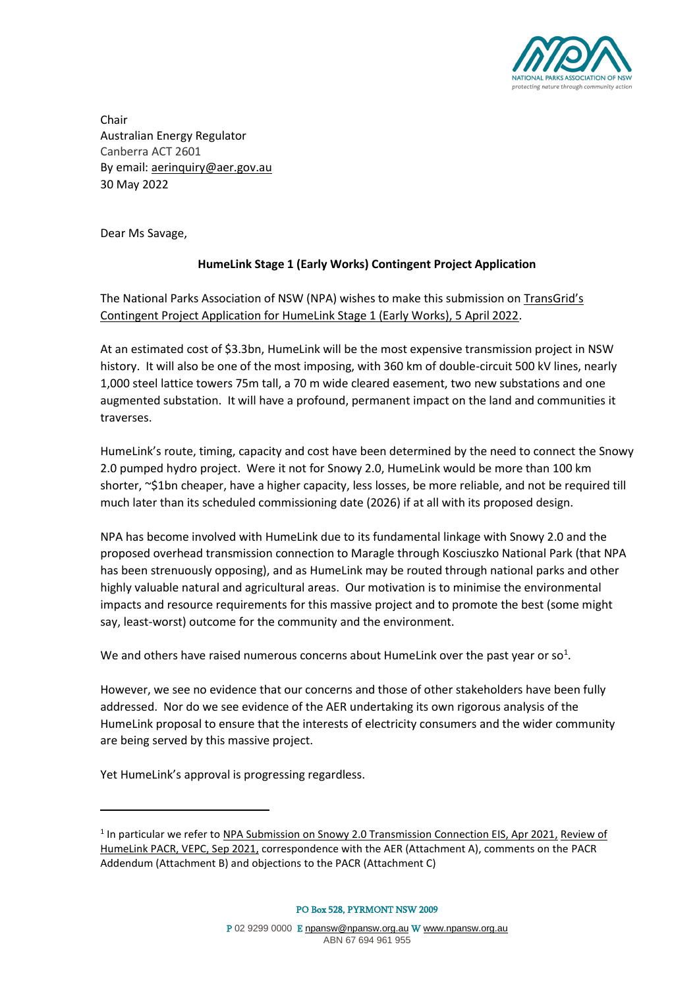

Chair Australian Energy Regulator Canberra ACT 2601 By email: aerinquiry@aer.gov.au 30 May 2022

Dear Ms Savage,

### **HumeLink Stage 1 (Early Works) Contingent Project Application**

The National Parks Association of NSW (NPA) wishes to make this submission on TransGrid's Contingent Project Application for HumeLink Stage 1 (Early Works), 5 April 2022.

At an estimated cost of \$3.3bn, HumeLink will be the most expensive transmission project in NSW history. It will also be one of the most imposing, with 360 km of double-circuit 500 kV lines, nearly 1,000 steel lattice towers 75m tall, a 70 m wide cleared easement, two new substations and one augmented substation. It will have a profound, permanent impact on the land and communities it traverses.

HumeLink's route, timing, capacity and cost have been determined by the need to connect the Snowy 2.0 pumped hydro project. Were it not for Snowy 2.0, HumeLink would be more than 100 km shorter, ~\$1bn cheaper, have a higher capacity, less losses, be more reliable, and not be required till much later than its scheduled commissioning date (2026) if at all with its proposed design.

NPA has become involved with HumeLink due to its fundamental linkage with Snowy 2.0 and the proposed overhead transmission connection to Maragle through Kosciuszko National Park (that NPA has been strenuously opposing), and as HumeLink may be routed through national parks and other highly valuable natural and agricultural areas. Our motivation is to minimise the environmental impacts and resource requirements for this massive project and to promote the best (some might say, least-worst) outcome for the community and the environment.

We and others have raised numerous concerns about HumeLink over the past year or so<sup>1</sup>.

However, we see no evidence that our concerns and those of other stakeholders have been fully addressed. Nor do we see evidence of the AER undertaking its own rigorous analysis of the HumeLink proposal to ensure that the interests of electricity consumers and the wider community are being served by this massive project.

Yet HumeLink's approval is progressing regardless.

PO Box 528, PYRMONT NSW 2009

<sup>&</sup>lt;sup>1</sup> In particular we refer to NPA Submission on Snowy 2.0 Transmission Connection EIS, Apr 2021, Review of HumeLink PACR, VEPC, Sep 2021, correspondence with the AER (Attachment A), comments on the PACR Addendum (Attachment B) and objections to the PACR (Attachment C)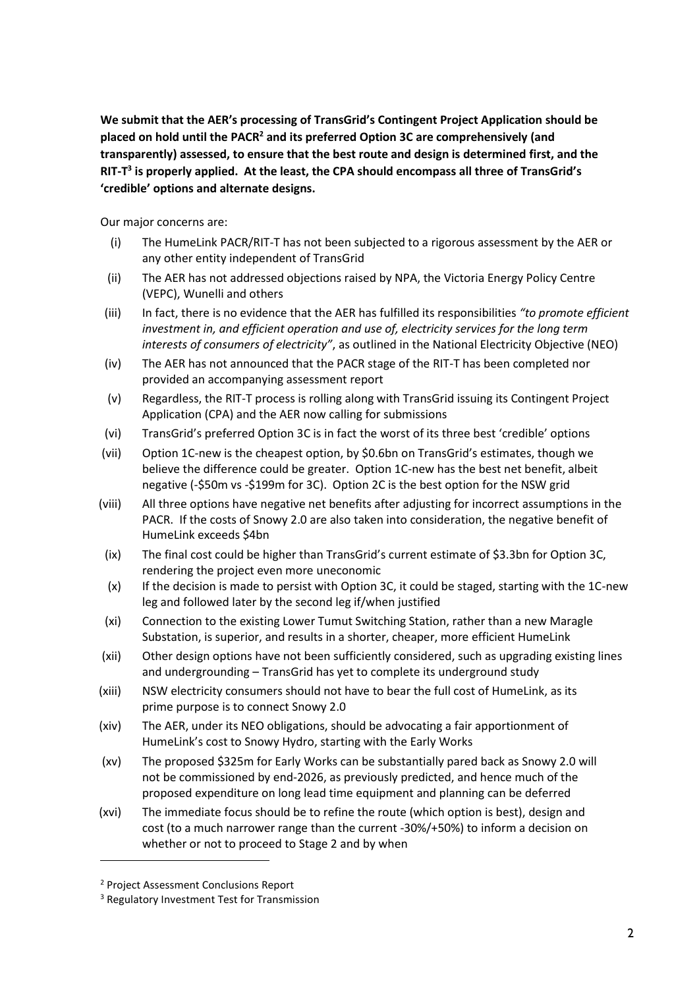**We submit that the AER's processing of TransGrid's Contingent Project Application should be placed on hold until the PACR<sup>2</sup> and its preferred Option 3C are comprehensively (and transparently) assessed, to ensure that the best route and design is determined first, and the RIT-T 3 is properly applied. At the least, the CPA should encompass all three of TransGrid's 'credible' options and alternate designs.**

Our major concerns are:

- (i) The HumeLink PACR/RIT-T has not been subjected to a rigorous assessment by the AER or any other entity independent of TransGrid
- (ii) The AER has not addressed objections raised by NPA, the Victoria Energy Policy Centre (VEPC), Wunelli and others
- (iii) In fact, there is no evidence that the AER has fulfilled its responsibilities *"to promote efficient investment in, and efficient operation and use of, electricity services for the long term interests of consumers of electricity"*, as outlined in the National Electricity Objective (NEO)
- (iv) The AER has not announced that the PACR stage of the RIT-T has been completed nor provided an accompanying assessment report
- (v) Regardless, the RIT-T process is rolling along with TransGrid issuing its Contingent Project Application (CPA) and the AER now calling for submissions
- (vi) TransGrid's preferred Option 3C is in fact the worst of its three best 'credible' options
- (vii) Option 1C-new is the cheapest option, by \$0.6bn on TransGrid's estimates, though we believe the difference could be greater. Option 1C-new has the best net benefit, albeit negative (-\$50m vs -\$199m for 3C). Option 2C is the best option for the NSW grid
- (viii) All three options have negative net benefits after adjusting for incorrect assumptions in the PACR. If the costs of Snowy 2.0 are also taken into consideration, the negative benefit of HumeLink exceeds \$4bn
- (ix) The final cost could be higher than TransGrid's current estimate of \$3.3bn for Option 3C, rendering the project even more uneconomic
- (x) If the decision is made to persist with Option 3C, it could be staged, starting with the 1C-new leg and followed later by the second leg if/when justified
- (xi) Connection to the existing Lower Tumut Switching Station, rather than a new Maragle Substation, is superior, and results in a shorter, cheaper, more efficient HumeLink
- (xii) Other design options have not been sufficiently considered, such as upgrading existing lines and undergrounding – TransGrid has yet to complete its underground study
- (xiii) NSW electricity consumers should not have to bear the full cost of HumeLink, as its prime purpose is to connect Snowy 2.0
- (xiv) The AER, under its NEO obligations, should be advocating a fair apportionment of HumeLink's cost to Snowy Hydro, starting with the Early Works
- (xv) The proposed \$325m for Early Works can be substantially pared back as Snowy 2.0 will not be commissioned by end-2026, as previously predicted, and hence much of the proposed expenditure on long lead time equipment and planning can be deferred
- (xvi) The immediate focus should be to refine the route (which option is best), design and cost (to a much narrower range than the current -30%/+50%) to inform a decision on whether or not to proceed to Stage 2 and by when

<sup>2</sup> Project Assessment Conclusions Report

<sup>&</sup>lt;sup>3</sup> Regulatory Investment Test for Transmission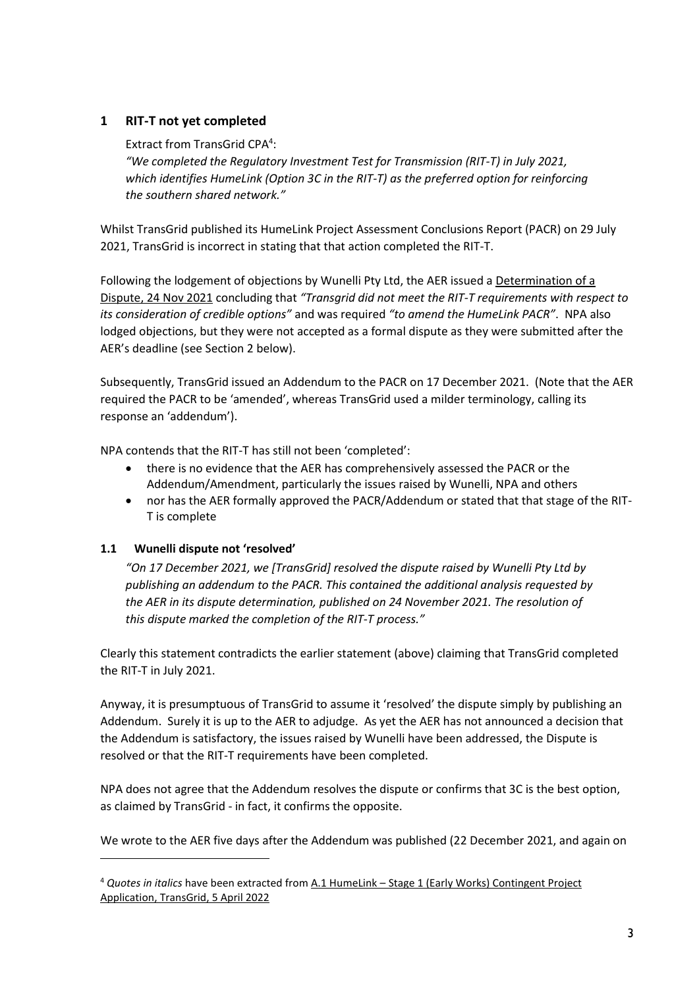## **1 RIT-T not yet completed**

Extract from TransGrid CPA<sup>4</sup>:

*"We completed the Regulatory Investment Test for Transmission (RIT-T) in July 2021, which identifies HumeLink (Option 3C in the RIT-T) as the preferred option for reinforcing the southern shared network."* 

Whilst TransGrid published its HumeLink Project Assessment Conclusions Report (PACR) on 29 July 2021, TransGrid is incorrect in stating that that action completed the RIT-T.

Following the lodgement of objections by Wunelli Pty Ltd, the AER issued a Determination of a Dispute, 24 Nov 2021 concluding that *"Transgrid did not meet the RIT-T requirements with respect to its consideration of credible options"* and was required *"to amend the HumeLink PACR"*. NPA also lodged objections, but they were not accepted as a formal dispute as they were submitted after the AER's deadline (see Section 2 below).

Subsequently, TransGrid issued an Addendum to the PACR on 17 December 2021. (Note that the AER required the PACR to be 'amended', whereas TransGrid used a milder terminology, calling its response an 'addendum').

NPA contends that the RIT-T has still not been 'completed':

- there is no evidence that the AER has comprehensively assessed the PACR or the Addendum/Amendment, particularly the issues raised by Wunelli, NPA and others
- nor has the AER formally approved the PACR/Addendum or stated that that stage of the RIT-T is complete

## **1.1 Wunelli dispute not 'resolved'**

*"On 17 December 2021, we [TransGrid] resolved the dispute raised by Wunelli Pty Ltd by publishing an addendum to the PACR. This contained the additional analysis requested by the AER in its dispute determination, published on 24 November 2021. The resolution of this dispute marked the completion of the RIT-T process."*

Clearly this statement contradicts the earlier statement (above) claiming that TransGrid completed the RIT-T in July 2021.

Anyway, it is presumptuous of TransGrid to assume it 'resolved' the dispute simply by publishing an Addendum. Surely it is up to the AER to adjudge. As yet the AER has not announced a decision that the Addendum is satisfactory, the issues raised by Wunelli have been addressed, the Dispute is resolved or that the RIT-T requirements have been completed.

NPA does not agree that the Addendum resolves the dispute or confirms that 3C is the best option, as claimed by TransGrid - in fact, it confirms the opposite.

We wrote to the AER five days after the Addendum was published (22 December 2021, and again on

<sup>4</sup> *Quotes in italics* have been extracted from A.1 HumeLink – Stage 1 (Early Works) Contingent Project Application, TransGrid, 5 April 2022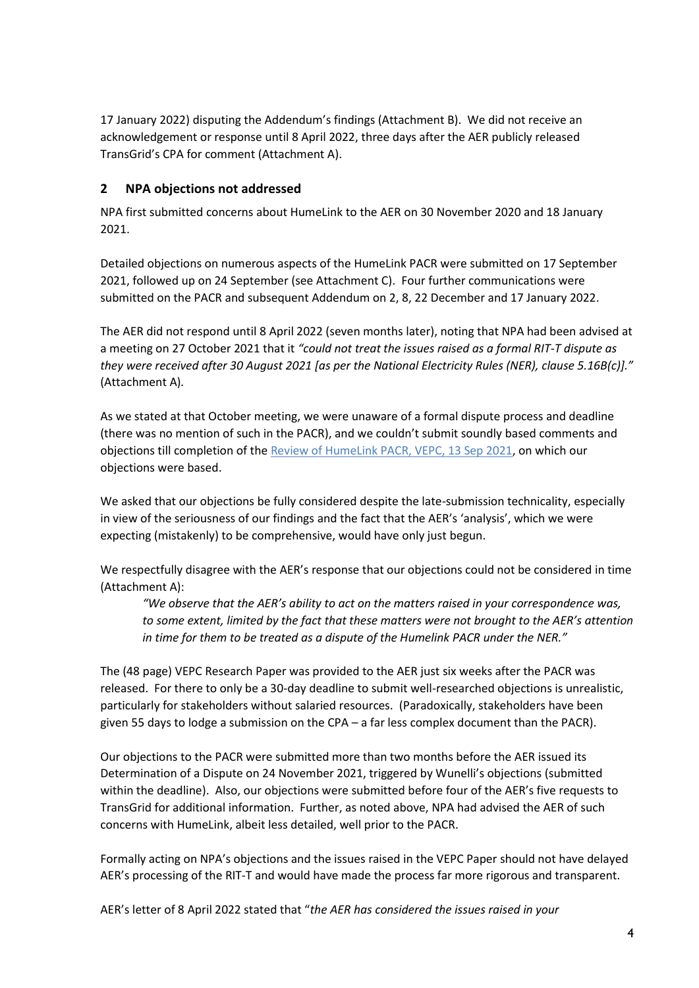17 January 2022) disputing the Addendum's findings (Attachment B). We did not receive an acknowledgement or response until 8 April 2022, three days after the AER publicly released TransGrid's CPA for comment (Attachment A).

## **2 NPA objections not addressed**

NPA first submitted concerns about HumeLink to the AER on 30 November 2020 and 18 January 2021.

Detailed objections on numerous aspects of the HumeLink PACR were submitted on 17 September 2021, followed up on 24 September (see Attachment C). Four further communications were submitted on the PACR and subsequent Addendum on 2, 8, 22 December and 17 January 2022.

The AER did not respond until 8 April 2022 (seven months later), noting that NPA had been advised at a meeting on 27 October 2021 that it *"could not treat the issues raised as a formal RIT-T dispute as they were received after 30 August 2021 [as per the National Electricity Rules (NER), clause 5.16B(c)]."*  (Attachment A)*.*

As we stated at that October meeting, we were unaware of a formal dispute process and deadline (there was no mention of such in the PACR), and we couldn't submit soundly based comments and objections till completion of the Review of HumeLink PACR, VEPC, 13 Sep 2021, on which our objections were based.

We asked that our objections be fully considered despite the late-submission technicality, especially in view of the seriousness of our findings and the fact that the AER's 'analysis', which we were expecting (mistakenly) to be comprehensive, would have only just begun.

We respectfully disagree with the AER's response that our objections could not be considered in time (Attachment A):

*"We observe that the AER's ability to act on the matters raised in your correspondence was, to some extent, limited by the fact that these matters were not brought to the AER's attention in time for them to be treated as a dispute of the Humelink PACR under the NER."*

The (48 page) VEPC Research Paper was provided to the AER just six weeks after the PACR was released. For there to only be a 30-day deadline to submit well-researched objections is unrealistic, particularly for stakeholders without salaried resources. (Paradoxically, stakeholders have been given 55 days to lodge a submission on the CPA – a far less complex document than the PACR).

Our objections to the PACR were submitted more than two months before the AER issued its Determination of a Dispute on 24 November 2021, triggered by Wunelli's objections (submitted within the deadline). Also, our objections were submitted before four of the AER's five requests to TransGrid for additional information. Further, as noted above, NPA had advised the AER of such concerns with HumeLink, albeit less detailed, well prior to the PACR.

Formally acting on NPA's objections and the issues raised in the VEPC Paper should not have delayed AER's processing of the RIT-T and would have made the process far more rigorous and transparent.

AER's letter of 8 April 2022 stated that "*the AER has considered the issues raised in your*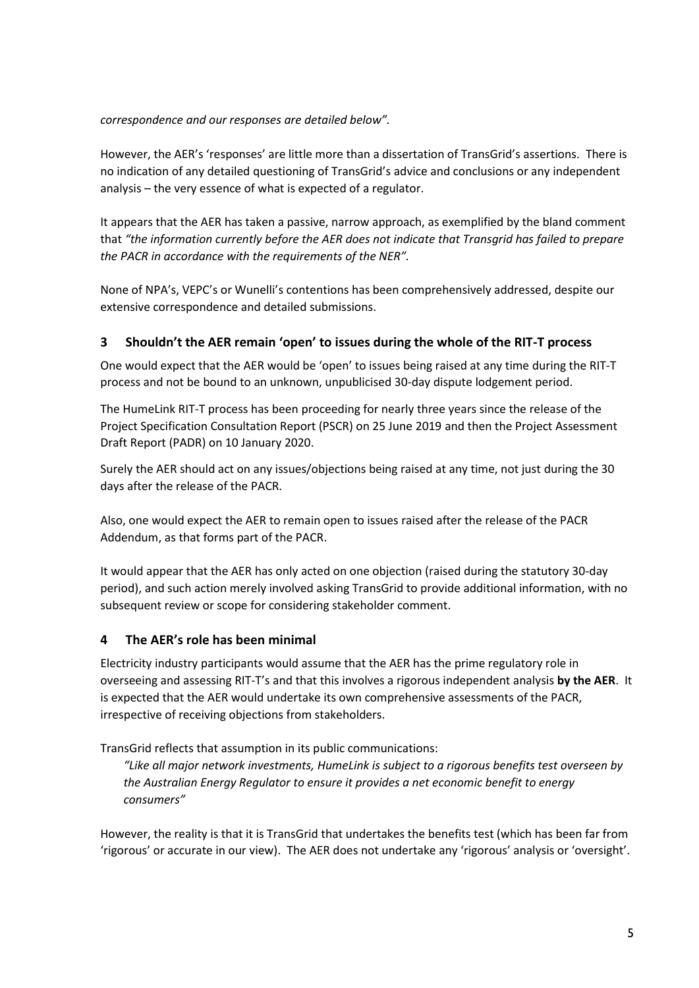*correspondence and our responses are detailed below".*

However, the AER's 'responses' are little more than a dissertation of TransGrid's assertions. There is no indication of any detailed questioning of TransGrid's advice and conclusions or any independent analysis – the very essence of what is expected of a regulator.

It appears that the AER has taken a passive, narrow approach, as exemplified by the bland comment that *"the information currently before the AER does not indicate that Transgrid has failed to prepare the PACR in accordance with the requirements of the NER".*

None of NPA's, VEPC's or Wunelli's contentions has been comprehensively addressed, despite our extensive correspondence and detailed submissions.

### **3 Shouldn't the AER remain 'open' to issues during the whole of the RIT-T process**

One would expect that the AER would be 'open' to issues being raised at any time during the RIT-T process and not be bound to an unknown, unpublicised 30-day dispute lodgement period.

The HumeLink RIT-T process has been proceeding for nearly three years since the release of the Project Specification Consultation Report (PSCR) on 25 June 2019 and then the Project Assessment Draft Report (PADR) on 10 January 2020.

Surely the AER should act on any issues/objections being raised at any time, not just during the 30 days after the release of the PACR.

Also, one would expect the AER to remain open to issues raised after the release of the PACR Addendum, as that forms part of the PACR.

It would appear that the AER has only acted on one objection (raised during the statutory 30-day period), and such action merely involved asking TransGrid to provide additional information, with no subsequent review or scope for considering stakeholder comment.

### **4 The AER's role has been minimal**

Electricity industry participants would assume that the AER has the prime regulatory role in overseeing and assessing RIT-T's and that this involves a rigorous independent analysis **by the AER**. It is expected that the AER would undertake its own comprehensive assessments of the PACR, irrespective of receiving objections from stakeholders.

TransGrid reflects that assumption in its public communications:

*"Like all major network investments, HumeLink is subject to a rigorous benefits test overseen by the Australian Energy Regulator to ensure it provides a net economic benefit to energy consumers"*

However, the reality is that it is TransGrid that undertakes the benefits test (which has been far from 'rigorous' or accurate in our view). The AER does not undertake any 'rigorous' analysis or 'oversight'.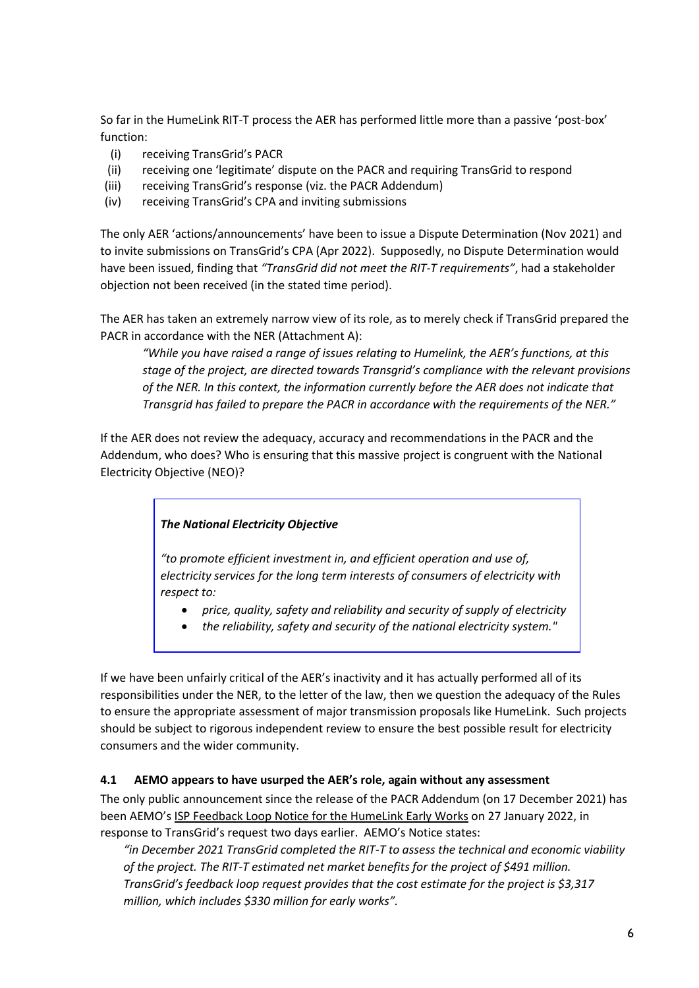So far in the HumeLink RIT-T process the AER has performed little more than a passive 'post-box' function:

- (i) receiving TransGrid's PACR
- (ii) receiving one 'legitimate' dispute on the PACR and requiring TransGrid to respond
- (iii) receiving TransGrid's response (viz. the PACR Addendum)
- (iv) receiving TransGrid's CPA and inviting submissions

The only AER 'actions/announcements' have been to issue a Dispute Determination (Nov 2021) and to invite submissions on TransGrid's CPA (Apr 2022). Supposedly, no Dispute Determination would have been issued, finding that *"TransGrid did not meet the RIT-T requirements"*, had a stakeholder objection not been received (in the stated time period).

The AER has taken an extremely narrow view of its role, as to merely check if TransGrid prepared the PACR in accordance with the NER (Attachment A):

*"While you have raised a range of issues relating to Humelink, the AER's functions, at this stage of the project, are directed towards Transgrid's compliance with the relevant provisions of the NER. In this context, the information currently before the AER does not indicate that Transgrid has failed to prepare the PACR in accordance with the requirements of the NER."*

If the AER does not review the adequacy, accuracy and recommendations in the PACR and the Addendum, who does? Who is ensuring that this massive project is congruent with the National Electricity Objective (NEO)?

### *The National Electricity Objective*

*"to promote efficient investment in, and efficient operation and use of, electricity services for the long term interests of consumers of electricity with respect to:*

- *price, quality, safety and reliability and security of supply of electricity*
- *the reliability, safety and security of the national electricity system."*

If we have been unfairly critical of the AER's inactivity and it has actually performed all of its responsibilities under the NER, to the letter of the law, then we question the adequacy of the Rules to ensure the appropriate assessment of major transmission proposals like HumeLink. Such projects should be subject to rigorous independent review to ensure the best possible result for electricity consumers and the wider community.

## **4.1 AEMO appears to have usurped the AER's role, again without any assessment**

The only public announcement since the release of the PACR Addendum (on 17 December 2021) has been AEMO's ISP Feedback Loop Notice for the HumeLink Early Works on 27 January 2022, in response to TransGrid's request two days earlier. AEMO's Notice states:

*"in December 2021 TransGrid completed the RIT-T to assess the technical and economic viability of the project. The RIT-T estimated net market benefits for the project of \$491 million. TransGrid's feedback loop request provides that the cost estimate for the project is \$3,317 million, which includes \$330 million for early works".*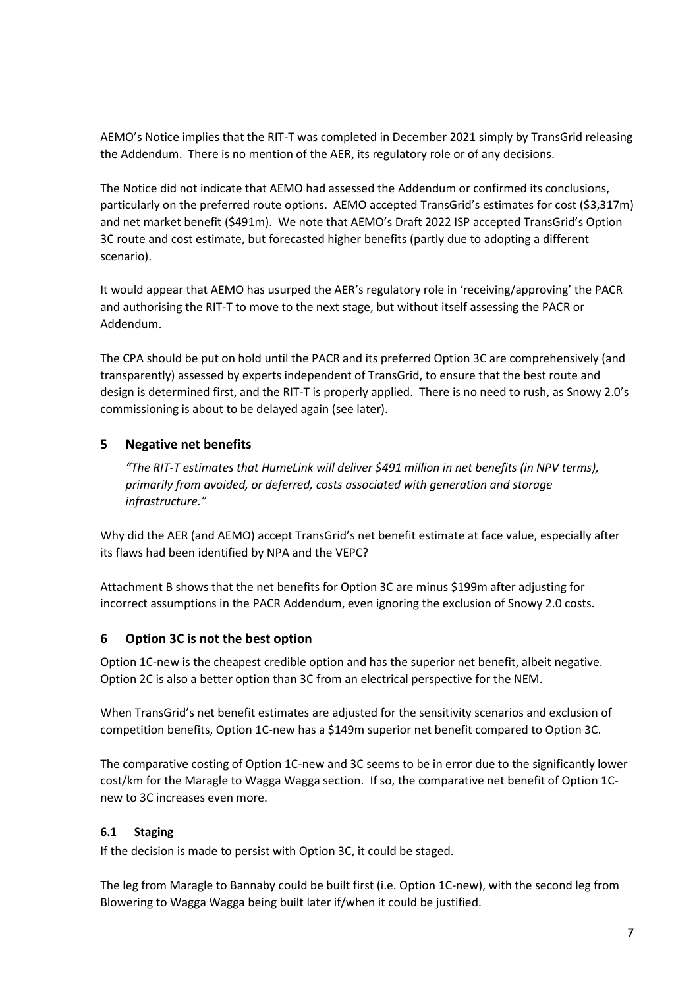AEMO's Notice implies that the RIT-T was completed in December 2021 simply by TransGrid releasing the Addendum. There is no mention of the AER, its regulatory role or of any decisions.

The Notice did not indicate that AEMO had assessed the Addendum or confirmed its conclusions, particularly on the preferred route options. AEMO accepted TransGrid's estimates for cost (\$3,317m) and net market benefit (\$491m). We note that AEMO's Draft 2022 ISP accepted TransGrid's Option 3C route and cost estimate, but forecasted higher benefits (partly due to adopting a different scenario).

It would appear that AEMO has usurped the AER's regulatory role in 'receiving/approving' the PACR and authorising the RIT-T to move to the next stage, but without itself assessing the PACR or Addendum.

The CPA should be put on hold until the PACR and its preferred Option 3C are comprehensively (and transparently) assessed by experts independent of TransGrid, to ensure that the best route and design is determined first, and the RIT-T is properly applied. There is no need to rush, as Snowy 2.0's commissioning is about to be delayed again (see later).

## **5 Negative net benefits**

*"The RIT-T estimates that HumeLink will deliver \$491 million in net benefits (in NPV terms), primarily from avoided, or deferred, costs associated with generation and storage infrastructure."*

Why did the AER (and AEMO) accept TransGrid's net benefit estimate at face value, especially after its flaws had been identified by NPA and the VEPC?

Attachment B shows that the net benefits for Option 3C are minus \$199m after adjusting for incorrect assumptions in the PACR Addendum, even ignoring the exclusion of Snowy 2.0 costs.

### **6 Option 3C is not the best option**

Option 1C-new is the cheapest credible option and has the superior net benefit, albeit negative. Option 2C is also a better option than 3C from an electrical perspective for the NEM.

When TransGrid's net benefit estimates are adjusted for the sensitivity scenarios and exclusion of competition benefits, Option 1C-new has a \$149m superior net benefit compared to Option 3C.

The comparative costing of Option 1C-new and 3C seems to be in error due to the significantly lower cost/km for the Maragle to Wagga Wagga section. If so, the comparative net benefit of Option 1Cnew to 3C increases even more.

### **6.1 Staging**

If the decision is made to persist with Option 3C, it could be staged.

The leg from Maragle to Bannaby could be built first (i.e. Option 1C-new), with the second leg from Blowering to Wagga Wagga being built later if/when it could be justified.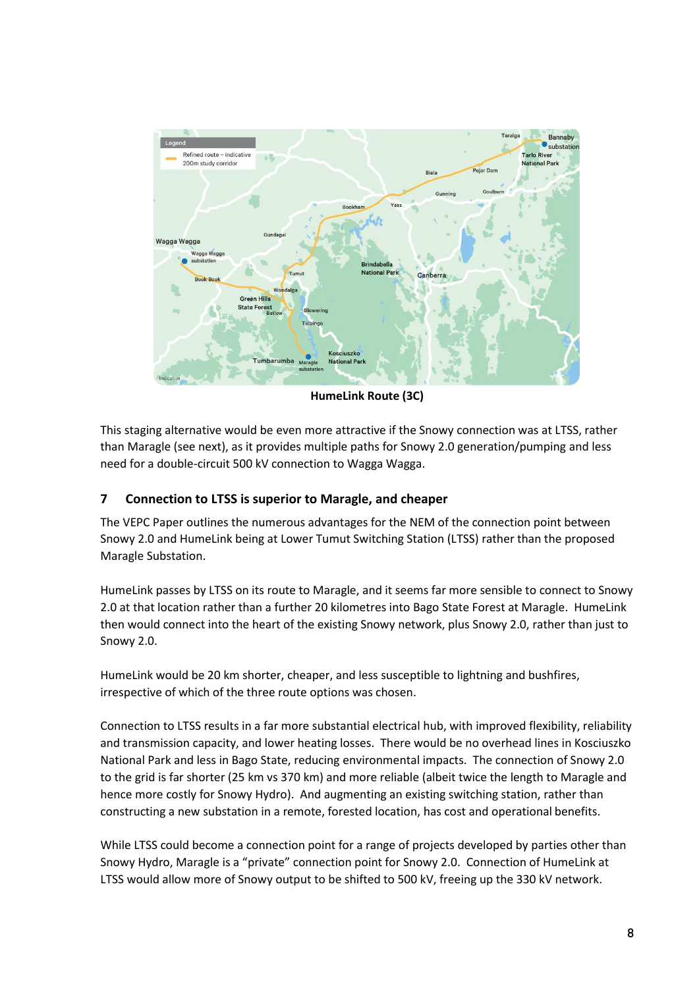

**HumeLink Route (3C)**

This staging alternative would be even more attractive if the Snowy connection was at LTSS, rather than Maragle (see next), as it provides multiple paths for Snowy 2.0 generation/pumping and less need for a double-circuit 500 kV connection to Wagga Wagga.

### **7 Connection to LTSS is superior to Maragle, and cheaper**

The VEPC Paper outlines the numerous advantages for the NEM of the connection point between Snowy 2.0 and HumeLink being at Lower Tumut Switching Station (LTSS) rather than the proposed Maragle Substation.

HumeLink passes by LTSS on its route to Maragle, and it seems far more sensible to connect to Snowy 2.0 at that location rather than a further 20 kilometres into Bago State Forest at Maragle. HumeLink then would connect into the heart of the existing Snowy network, plus Snowy 2.0, rather than just to Snowy 2.0.

HumeLink would be 20 km shorter, cheaper, and less susceptible to lightning and bushfires, irrespective of which of the three route options was chosen.

Connection to LTSS results in a far more substantial electrical hub, with improved flexibility, reliability and transmission capacity, and lower heating losses. There would be no overhead lines in Kosciuszko National Park and less in Bago State, reducing environmental impacts. The connection of Snowy 2.0 to the grid is far shorter (25 km vs 370 km) and more reliable (albeit twice the length to Maragle and hence more costly for Snowy Hydro). And augmenting an existing switching station, rather than constructing a new substation in a remote, forested location, has cost and operational benefits.

While LTSS could become a connection point for a range of projects developed by parties other than Snowy Hydro, Maragle is a "private" connection point for Snowy 2.0. Connection of HumeLink at LTSS would allow more of Snowy output to be shifted to 500 kV, freeing up the 330 kV network.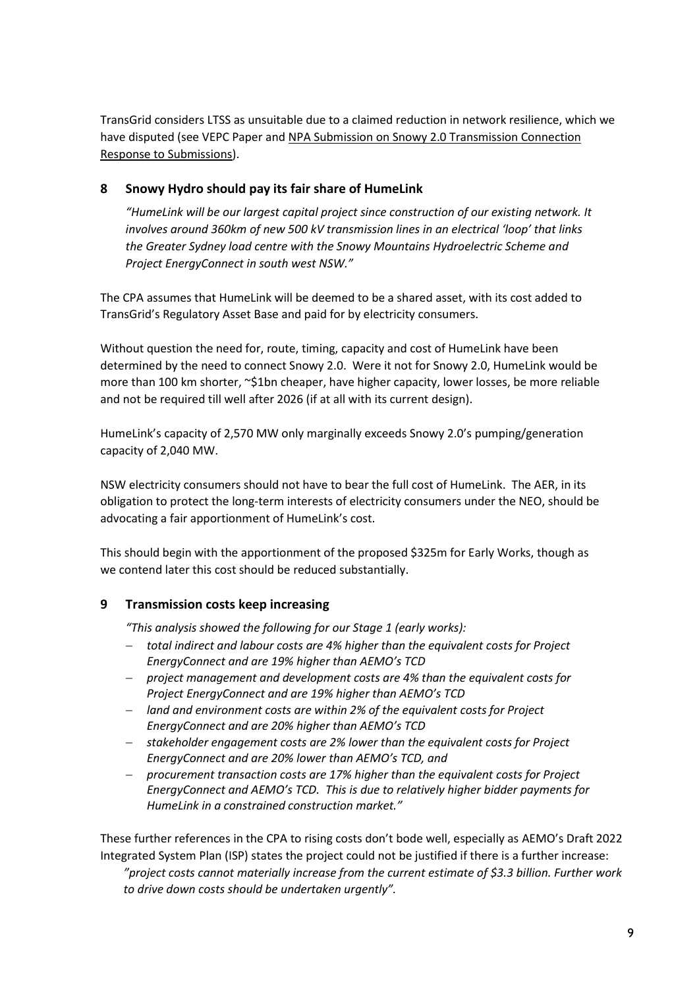TransGrid considers LTSS as unsuitable due to a claimed reduction in network resilience, which we have disputed (see VEPC Paper and NPA Submission on Snowy 2.0 Transmission Connection Response to Submissions).

## **8 Snowy Hydro should pay its fair share of HumeLink**

*"HumeLink will be our largest capital project since construction of our existing network. It involves around 360km of new 500 kV transmission lines in an electrical 'loop' that links the Greater Sydney load centre with the Snowy Mountains Hydroelectric Scheme and Project EnergyConnect in south west NSW."*

The CPA assumes that HumeLink will be deemed to be a shared asset, with its cost added to TransGrid's Regulatory Asset Base and paid for by electricity consumers.

Without question the need for, route, timing, capacity and cost of HumeLink have been determined by the need to connect Snowy 2.0. Were it not for Snowy 2.0, HumeLink would be more than 100 km shorter, ~\$1bn cheaper, have higher capacity, lower losses, be more reliable and not be required till well after 2026 (if at all with its current design).

HumeLink's capacity of 2,570 MW only marginally exceeds Snowy 2.0's pumping/generation capacity of 2,040 MW.

NSW electricity consumers should not have to bear the full cost of HumeLink. The AER, in its obligation to protect the long-term interests of electricity consumers under the NEO, should be advocating a fair apportionment of HumeLink's cost.

This should begin with the apportionment of the proposed \$325m for Early Works, though as we contend later this cost should be reduced substantially.

### **9 Transmission costs keep increasing**

*"This analysis showed the following for our Stage 1 (early works):*

- − *total indirect and labour costs are 4% higher than the equivalent costs for Project EnergyConnect and are 19% higher than AEMO's TCD*
- − *project management and development costs are 4% than the equivalent costs for Project EnergyConnect and are 19% higher than AEMO's TCD*
- − *land and environment costs are within 2% of the equivalent costs for Project EnergyConnect and are 20% higher than AEMO's TCD*
- − *stakeholder engagement costs are 2% lower than the equivalent costs for Project EnergyConnect and are 20% lower than AEMO's TCD, and*
- − *procurement transaction costs are 17% higher than the equivalent costs for Project EnergyConnect and AEMO's TCD. This is due to relatively higher bidder payments for HumeLink in a constrained construction market."*

These further references in the CPA to rising costs don't bode well, especially as AEMO's Draft 2022 Integrated System Plan (ISP) states the project could not be justified if there is a further increase:

*"project costs cannot materially increase from the current estimate of \$3.3 billion. Further work to drive down costs should be undertaken urgently".*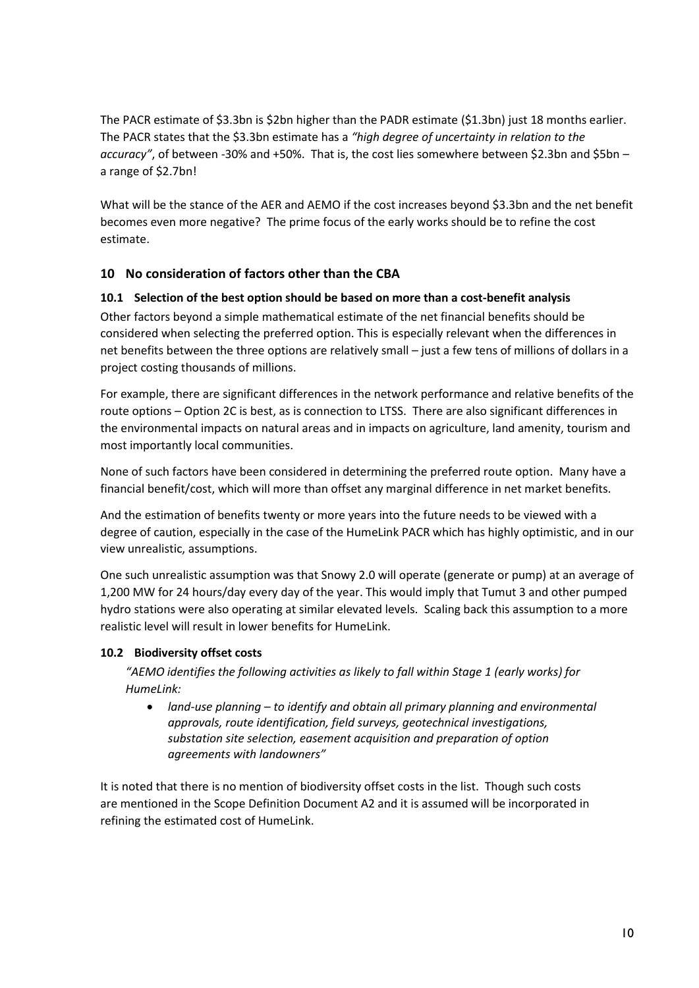The PACR estimate of \$3.3bn is \$2bn higher than the PADR estimate (\$1.3bn) just 18 months earlier. The PACR states that the \$3.3bn estimate has a *"high degree of uncertainty in relation to the accuracy"*, of between -30% and +50%. That is, the cost lies somewhere between \$2.3bn and \$5bn – a range of \$2.7bn!

What will be the stance of the AER and AEMO if the cost increases beyond \$3.3bn and the net benefit becomes even more negative? The prime focus of the early works should be to refine the cost estimate.

## **10 No consideration of factors other than the CBA**

### **10.1 Selection of the best option should be based on more than a cost-benefit analysis**

Other factors beyond a simple mathematical estimate of the net financial benefits should be considered when selecting the preferred option. This is especially relevant when the differences in net benefits between the three options are relatively small – just a few tens of millions of dollars in a project costing thousands of millions.

For example, there are significant differences in the network performance and relative benefits of the route options – Option 2C is best, as is connection to LTSS. There are also significant differences in the environmental impacts on natural areas and in impacts on agriculture, land amenity, tourism and most importantly local communities.

None of such factors have been considered in determining the preferred route option. Many have a financial benefit/cost, which will more than offset any marginal difference in net market benefits.

And the estimation of benefits twenty or more years into the future needs to be viewed with a degree of caution, especially in the case of the HumeLink PACR which has highly optimistic, and in our view unrealistic, assumptions.

One such unrealistic assumption was that Snowy 2.0 will operate (generate or pump) at an average of 1,200 MW for 24 hours/day every day of the year. This would imply that Tumut 3 and other pumped hydro stations were also operating at similar elevated levels. Scaling back this assumption to a more realistic level will result in lower benefits for HumeLink.

## **10.2 Biodiversity offset costs**

*"AEMO identifies the following activities as likely to fall within Stage 1 (early works) for HumeLink:*

• *land-use planning – to identify and obtain all primary planning and environmental approvals, route identification, field surveys, geotechnical investigations, substation site selection, easement acquisition and preparation of option agreements with landowners"*

It is noted that there is no mention of biodiversity offset costs in the list. Though such costs are mentioned in the Scope Definition Document A2 and it is assumed will be incorporated in refining the estimated cost of HumeLink.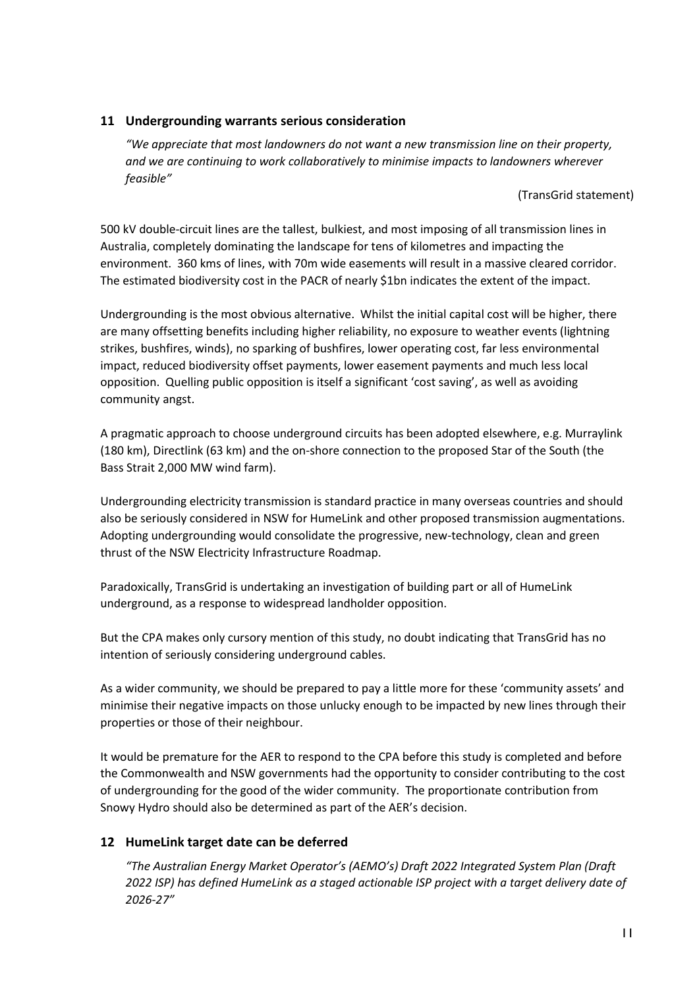### **11 Undergrounding warrants serious consideration**

*"We appreciate that most landowners do not want a new transmission line on their property, and we are continuing to work collaboratively to minimise impacts to landowners wherever feasible"*

(TransGrid statement)

500 kV double-circuit lines are the tallest, bulkiest, and most imposing of all transmission lines in Australia, completely dominating the landscape for tens of kilometres and impacting the environment. 360 kms of lines, with 70m wide easements will result in a massive cleared corridor. The estimated biodiversity cost in the PACR of nearly \$1bn indicates the extent of the impact.

Undergrounding is the most obvious alternative. Whilst the initial capital cost will be higher, there are many offsetting benefits including higher reliability, no exposure to weather events (lightning strikes, bushfires, winds), no sparking of bushfires, lower operating cost, far less environmental impact, reduced biodiversity offset payments, lower easement payments and much less local opposition. Quelling public opposition is itself a significant 'cost saving', as well as avoiding community angst.

A pragmatic approach to choose underground circuits has been adopted elsewhere, e.g. Murraylink (180 km), Directlink (63 km) and the on-shore connection to the proposed Star of the South (the Bass Strait 2,000 MW wind farm).

Undergrounding electricity transmission is standard practice in many overseas countries and should also be seriously considered in NSW for HumeLink and other proposed transmission augmentations. Adopting undergrounding would consolidate the progressive, new-technology, clean and green thrust of the NSW Electricity Infrastructure Roadmap.

Paradoxically, TransGrid is undertaking an investigation of building part or all of HumeLink underground, as a response to widespread landholder opposition.

But the CPA makes only cursory mention of this study, no doubt indicating that TransGrid has no intention of seriously considering underground cables.

As a wider community, we should be prepared to pay a little more for these 'community assets' and minimise their negative impacts on those unlucky enough to be impacted by new lines through their properties or those of their neighbour.

It would be premature for the AER to respond to the CPA before this study is completed and before the Commonwealth and NSW governments had the opportunity to consider contributing to the cost of undergrounding for the good of the wider community. The proportionate contribution from Snowy Hydro should also be determined as part of the AER's decision.

## **12 HumeLink target date can be deferred**

*"The Australian Energy Market Operator's (AEMO's) Draft 2022 Integrated System Plan (Draft 2022 ISP) has defined HumeLink as a staged actionable ISP project with a target delivery date of 2026-27"*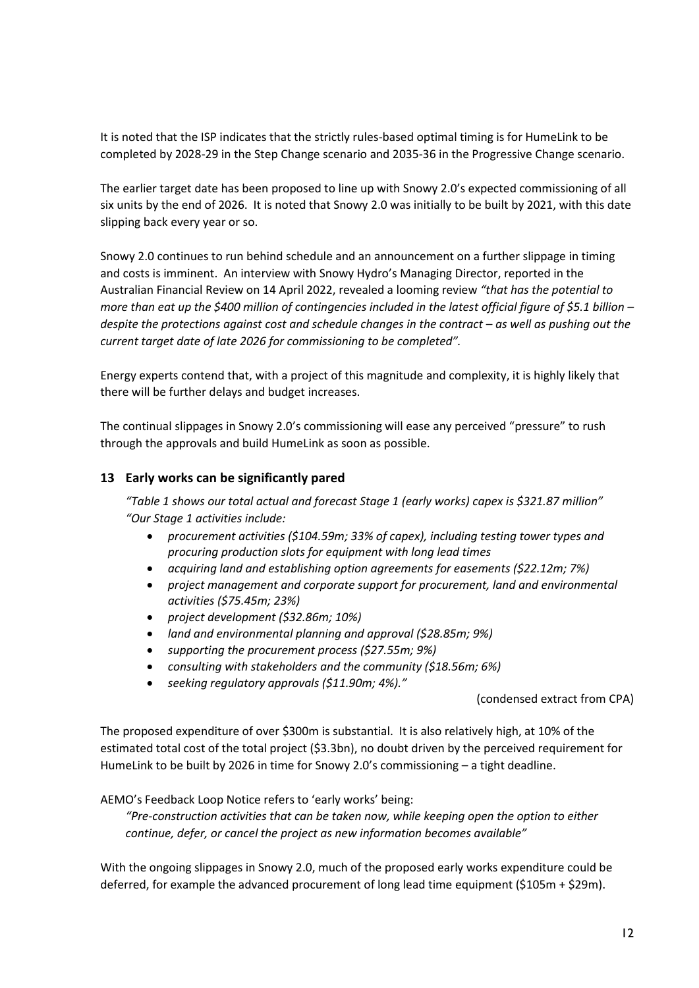It is noted that the ISP indicates that the strictly rules-based optimal timing is for HumeLink to be completed by 2028-29 in the Step Change scenario and 2035-36 in the Progressive Change scenario.

The earlier target date has been proposed to line up with Snowy 2.0's expected commissioning of all six units by the end of 2026. It is noted that Snowy 2.0 was initially to be built by 2021, with this date slipping back every year or so.

Snowy 2.0 continues to run behind schedule and an announcement on a further slippage in timing and costs is imminent. An interview with Snowy Hydro's Managing Director, reported in the Australian Financial Review on 14 April 2022, revealed a looming review *"that has the potential to more than eat up the \$400 million of contingencies included in the latest official figure of \$5.1 billion – despite the protections against cost and schedule changes in the contract – as well as pushing out the current target date of late 2026 for commissioning to be completed".*

Energy experts contend that, with a project of this magnitude and complexity, it is highly likely that there will be further delays and budget increases.

The continual slippages in Snowy 2.0's commissioning will ease any perceived "pressure" to rush through the approvals and build HumeLink as soon as possible.

### **13 Early works can be significantly pared**

*"Table 1 shows our total actual and forecast Stage 1 (early works) capex is \$321.87 million" "Our Stage 1 activities include:*

- *procurement activities (\$104.59m; 33% of capex), including testing tower types and procuring production slots for equipment with long lead times*
- *acquiring land and establishing option agreements for easements (\$22.12m; 7%)*
- *project management and corporate support for procurement, land and environmental activities (\$75.45m; 23%)*
- *project development (\$32.86m; 10%)*
- *land and environmental planning and approval (\$28.85m; 9%)*
- *supporting the procurement process (\$27.55m; 9%)*
- *consulting with stakeholders and the community (\$18.56m; 6%)*
- *seeking regulatory approvals (\$11.90m; 4%)."*

(condensed extract from CPA)

The proposed expenditure of over \$300m is substantial. It is also relatively high, at 10% of the estimated total cost of the total project (\$3.3bn), no doubt driven by the perceived requirement for HumeLink to be built by 2026 in time for Snowy 2.0's commissioning – a tight deadline.

AEMO's Feedback Loop Notice refers to 'early works' being:

*"Pre-construction activities that can be taken now, while keeping open the option to either continue, defer, or cancel the project as new information becomes available"*

With the ongoing slippages in Snowy 2.0, much of the proposed early works expenditure could be deferred, for example the advanced procurement of long lead time equipment (\$105m + \$29m).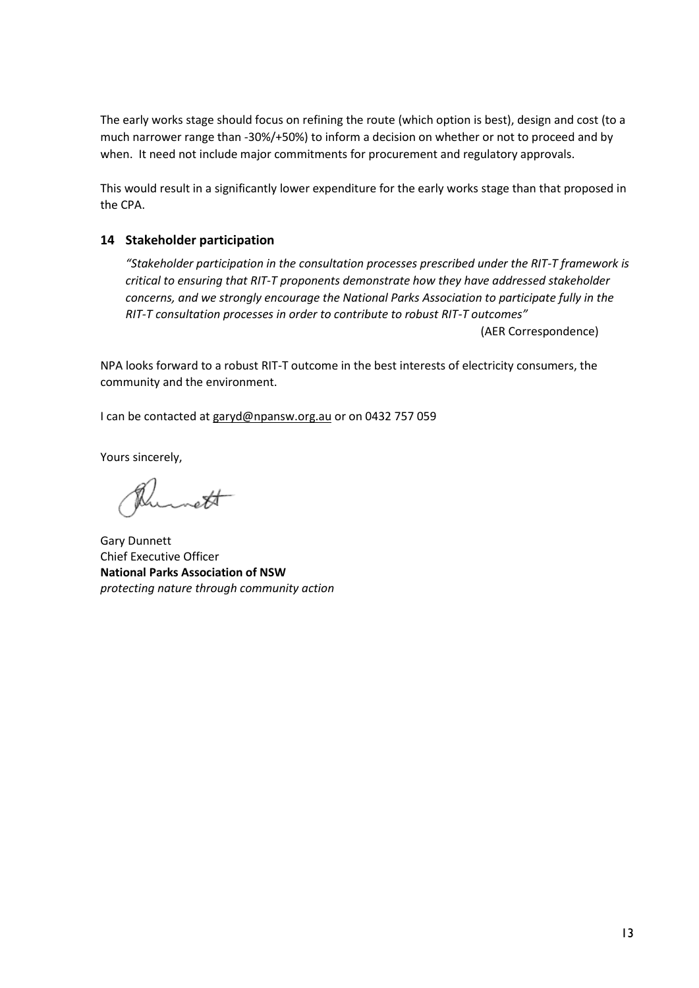The early works stage should focus on refining the route (which option is best), design and cost (to a much narrower range than -30%/+50%) to inform a decision on whether or not to proceed and by when. It need not include major commitments for procurement and regulatory approvals.

This would result in a significantly lower expenditure for the early works stage than that proposed in the CPA.

### **14 Stakeholder participation**

*"Stakeholder participation in the consultation processes prescribed under the RIT-T framework is critical to ensuring that RIT-T proponents demonstrate how they have addressed stakeholder concerns, and we strongly encourage the National Parks Association to participate fully in the RIT-T consultation processes in order to contribute to robust RIT-T outcomes"*

(AER Correspondence)

NPA looks forward to a robust RIT-T outcome in the best interests of electricity consumers, the community and the environment.

I can be contacted at garyd@npansw.org.au or on 0432 757 059

Yours sincerely,

 $\overline{\ast}$ 

Gary Dunnett Chief Executive Officer **National Parks Association of NSW** *protecting nature through community action*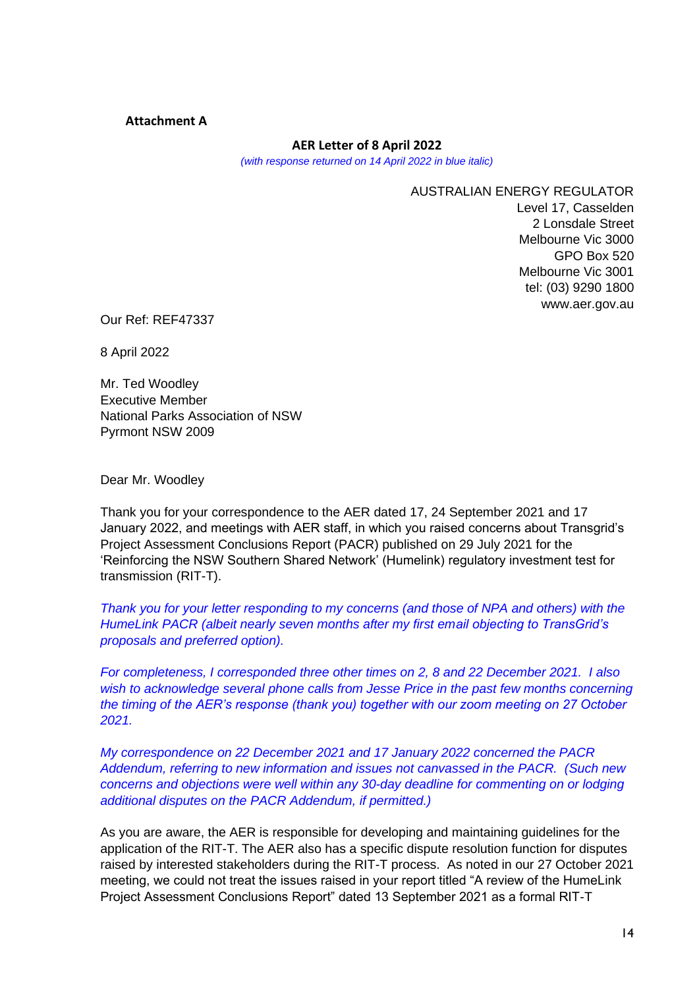#### **Attachment A**

#### **AER Letter of 8 April 2022**

*(with response returned on 14 April 2022 in blue italic)* 

AUSTRALIAN ENERGY REGULATOR Level 17, Casselden 2 Lonsdale Street Melbourne Vic 3000 GPO Box 520 Melbourne Vic 3001 tel: (03) 9290 1800 www.aer.gov.au

Our Ref: REF47337

8 April 2022

Mr. Ted Woodley Executive Member National Parks Association of NSW Pyrmont NSW 2009

Dear Mr. Woodley

Thank you for your correspondence to the AER dated 17, 24 September 2021 and 17 January 2022, and meetings with AER staff, in which you raised concerns about Transgrid's Project Assessment Conclusions Report (PACR) published on 29 July 2021 for the 'Reinforcing the NSW Southern Shared Network' (Humelink) regulatory investment test for transmission (RIT-T).

*Thank you for your letter responding to my concerns (and those of NPA and others) with the HumeLink PACR (albeit nearly seven months after my first email objecting to TransGrid's proposals and preferred option).*

*For completeness, I corresponded three other times on 2, 8 and 22 December 2021. I also wish to acknowledge several phone calls from Jesse Price in the past few months concerning the timing of the AER's response (thank you) together with our zoom meeting on 27 October 2021.* 

*My correspondence on 22 December 2021 and 17 January 2022 concerned the PACR Addendum, referring to new information and issues not canvassed in the PACR. (Such new concerns and objections were well within any 30-day deadline for commenting on or lodging additional disputes on the PACR Addendum, if permitted.)*

As you are aware, the AER is responsible for developing and maintaining guidelines for the application of the RIT-T. The AER also has a specific dispute resolution function for disputes raised by interested stakeholders during the RIT-T process. As noted in our 27 October 2021 meeting, we could not treat the issues raised in your report titled "A review of the HumeLink Project Assessment Conclusions Report" dated 13 September 2021 as a formal RIT-T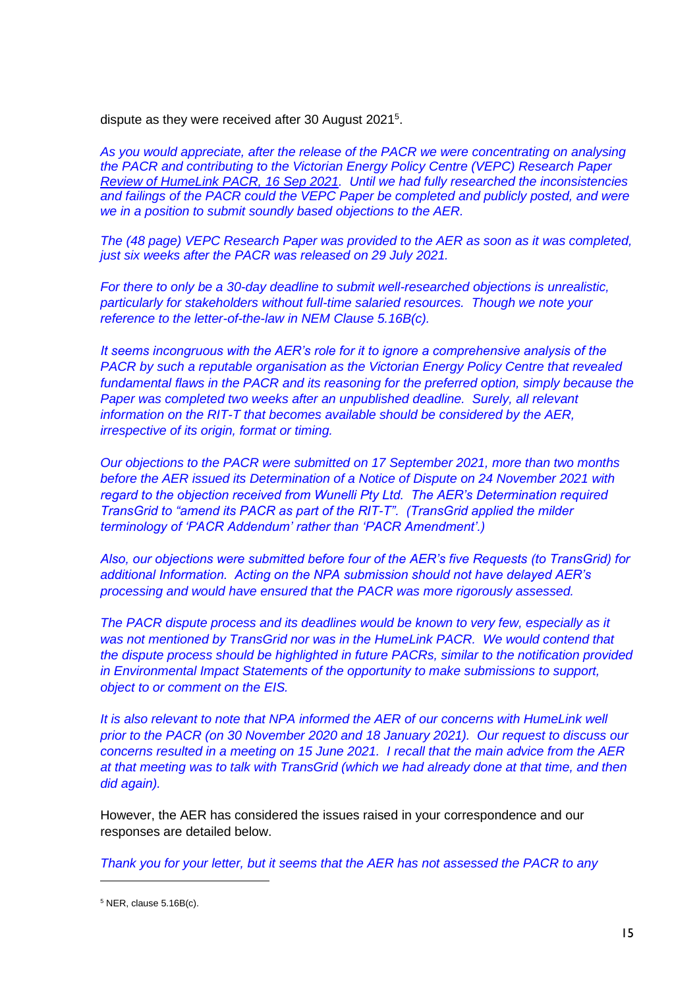dispute as they were received after 30 August 2021<sup>5</sup>.

*As you would appreciate, after the release of the PACR we were concentrating on analysing the PACR and contributing to the Victorian Energy Policy Centre (VEPC) Research Paper Review of HumeLink PACR, 16 Sep 2021. Until we had fully researched the inconsistencies and failings of the PACR could the VEPC Paper be completed and publicly posted, and were we in a position to submit soundly based objections to the AER.*

*The (48 page) VEPC Research Paper was provided to the AER as soon as it was completed, just six weeks after the PACR was released on 29 July 2021.*

*For there to only be a 30-day deadline to submit well-researched objections is unrealistic, particularly for stakeholders without full-time salaried resources. Though we note your reference to the letter-of-the-law in NEM Clause 5.16B(c).*

*It seems incongruous with the AER's role for it to ignore a comprehensive analysis of the PACR by such a reputable organisation as the Victorian Energy Policy Centre that revealed fundamental flaws in the PACR and its reasoning for the preferred option, simply because the Paper was completed two weeks after an unpublished deadline. Surely, all relevant information on the RIT-T that becomes available should be considered by the AER, irrespective of its origin, format or timing.*

*Our objections to the PACR were submitted on 17 September 2021, more than two months before the AER issued its Determination of a Notice of Dispute on 24 November 2021 with regard to the objection received from Wunelli Pty Ltd. The AER's Determination required TransGrid to "amend its PACR as part of the RIT-T". (TransGrid applied the milder terminology of 'PACR Addendum' rather than 'PACR Amendment'.)*

*Also, our objections were submitted before four of the AER's five Requests (to TransGrid) for additional Information. Acting on the NPA submission should not have delayed AER's processing and would have ensured that the PACR was more rigorously assessed.*

*The PACR dispute process and its deadlines would be known to very few, especially as it was not mentioned by TransGrid nor was in the HumeLink PACR. We would contend that the dispute process should be highlighted in future PACRs, similar to the notification provided in Environmental Impact Statements of the opportunity to make submissions to support, object to or comment on the EIS.*

*It is also relevant to note that NPA informed the AER of our concerns with HumeLink well prior to the PACR (on 30 November 2020 and 18 January 2021). Our request to discuss our concerns resulted in a meeting on 15 June 2021. I recall that the main advice from the AER at that meeting was to talk with TransGrid (which we had already done at that time, and then did again).*

However, the AER has considered the issues raised in your correspondence and our responses are detailed below.

*Thank you for your letter, but it seems that the AER has not assessed the PACR to any* 

 $5$  NER, clause  $5.16B(c)$ .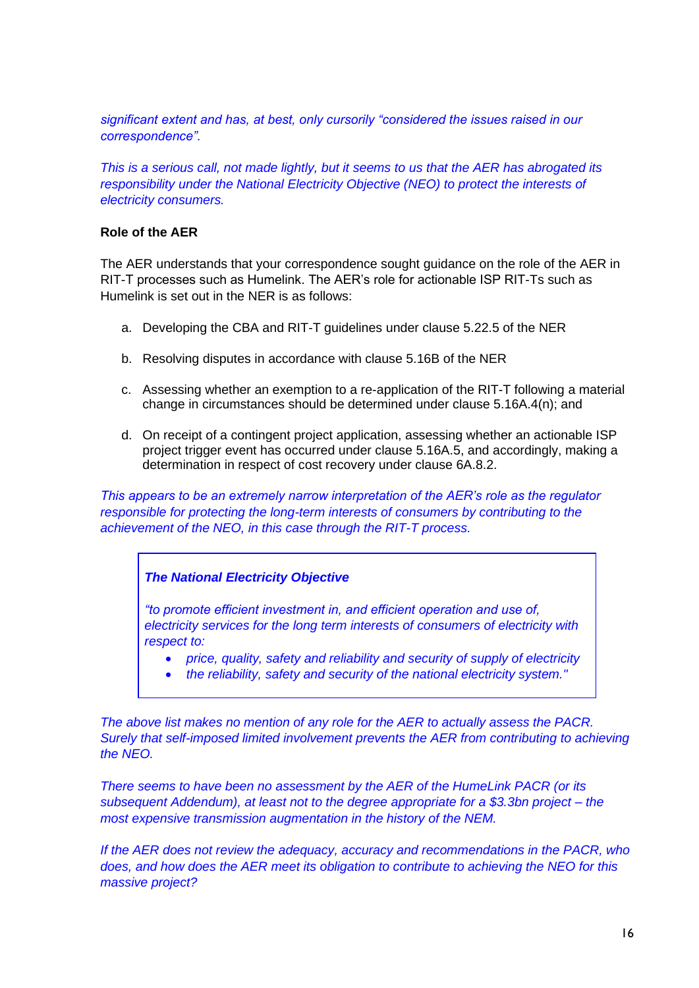*significant extent and has, at best, only cursorily "considered the issues raised in our correspondence".*

*This is a serious call, not made lightly, but it seems to us that the AER has abrogated its responsibility under the National Electricity Objective (NEO) to protect the interests of electricity consumers.*

### **Role of the AER**

The AER understands that your correspondence sought guidance on the role of the AER in RIT-T processes such as Humelink. The AER's role for actionable ISP RIT-Ts such as Humelink is set out in the NER is as follows:

- a. Developing the CBA and RIT-T guidelines under clause 5.22.5 of the NER
- b. Resolving disputes in accordance with clause 5.16B of the NER
- c. Assessing whether an exemption to a re-application of the RIT-T following a material change in circumstances should be determined under clause 5.16A.4(n); and
- d. On receipt of a contingent project application, assessing whether an actionable ISP project trigger event has occurred under clause 5.16A.5, and accordingly, making a determination in respect of cost recovery under clause 6A.8.2.

*This appears to be an extremely narrow interpretation of the AER's role as the regulator responsible for protecting the long-term interests of consumers by contributing to the achievement of the NEO, in this case through the RIT-T process.* 

### *The National Electricity Objective*

*"to promote efficient investment in, and efficient operation and use of, electricity services for the long term interests of consumers of electricity with respect to:*

- *price, quality, safety and reliability and security of supply of electricity*
- *the reliability, safety and security of the national electricity system."*

*The above list makes no mention of any role for the AER to actually assess the PACR. Surely that self-imposed limited involvement prevents the AER from contributing to achieving the NEO.* 

*There seems to have been no assessment by the AER of the HumeLink PACR (or its subsequent Addendum), at least not to the degree appropriate for a \$3.3bn project – the most expensive transmission augmentation in the history of the NEM.* 

*If the AER does not review the adequacy, accuracy and recommendations in the PACR, who does, and how does the AER meet its obligation to contribute to achieving the NEO for this massive project?*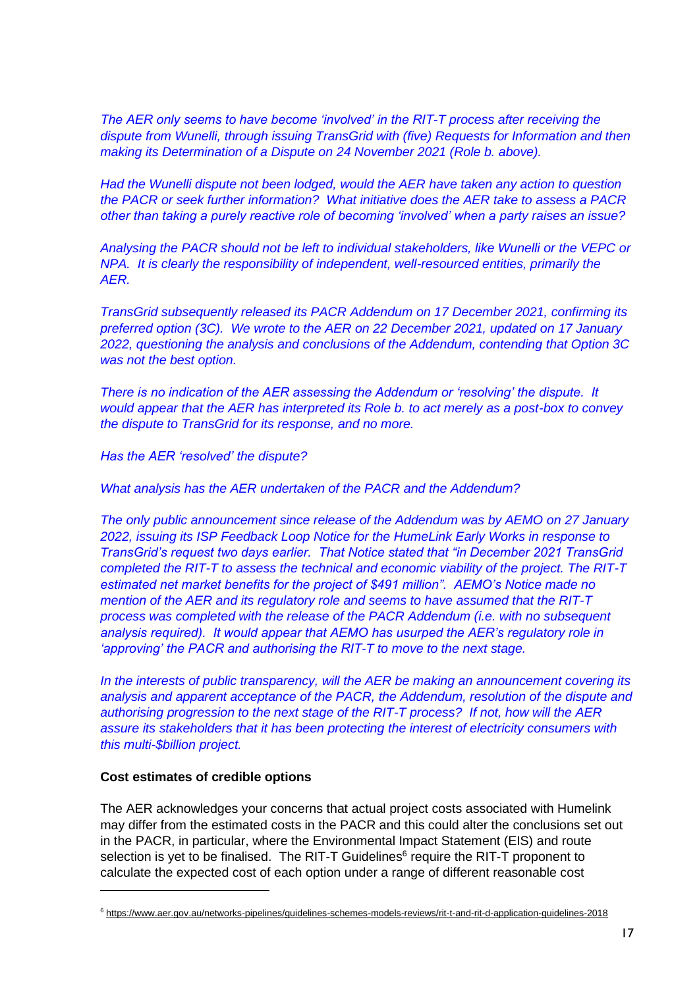*The AER only seems to have become 'involved' in the RIT-T process after receiving the dispute from Wunelli, through issuing TransGrid with (five) Requests for Information and then making its Determination of a Dispute on 24 November 2021 (Role b. above).* 

*Had the Wunelli dispute not been lodged, would the AER have taken any action to question the PACR or seek further information? What initiative does the AER take to assess a PACR other than taking a purely reactive role of becoming 'involved' when a party raises an issue?*

*Analysing the PACR should not be left to individual stakeholders, like Wunelli or the VEPC or NPA. It is clearly the responsibility of independent, well-resourced entities, primarily the AER.*

*TransGrid subsequently released its PACR Addendum on 17 December 2021, confirming its preferred option (3C). We wrote to the AER on 22 December 2021, updated on 17 January 2022, questioning the analysis and conclusions of the Addendum, contending that Option 3C was not the best option.* 

*There is no indication of the AER assessing the Addendum or 'resolving' the dispute. It would appear that the AER has interpreted its Role b. to act merely as a post-box to convey the dispute to TransGrid for its response, and no more.*

*Has the AER 'resolved' the dispute?* 

*What analysis has the AER undertaken of the PACR and the Addendum?*

*The only public announcement since release of the Addendum was by AEMO on 27 January 2022, issuing its ISP Feedback Loop Notice for the HumeLink Early Works in response to TransGrid's request two days earlier. That Notice stated that "in December 2021 TransGrid completed the RIT-T to assess the technical and economic viability of the project. The RIT-T estimated net market benefits for the project of \$491 million". AEMO's Notice made no mention of the AER and its regulatory role and seems to have assumed that the RIT-T process was completed with the release of the PACR Addendum (i.e. with no subsequent analysis required). It would appear that AEMO has usurped the AER's regulatory role in 'approving' the PACR and authorising the RIT-T to move to the next stage.*

*In the interests of public transparency, will the AER be making an announcement covering its analysis and apparent acceptance of the PACR, the Addendum, resolution of the dispute and authorising progression to the next stage of the RIT-T process? If not, how will the AER assure its stakeholders that it has been protecting the interest of electricity consumers with this multi-\$billion project.*

### **Cost estimates of credible options**

The AER acknowledges your concerns that actual project costs associated with Humelink may differ from the estimated costs in the PACR and this could alter the conclusions set out in the PACR, in particular, where the Environmental Impact Statement (EIS) and route selection is yet to be finalised. The RIT-T Guidelines $6$  require the RIT-T proponent to calculate the expected cost of each option under a range of different reasonable cost

<sup>6</sup> https://www.aer.gov.au/networks-pipelines/guidelines-schemes-models-reviews/rit-t-and-rit-d-application-guidelines-2018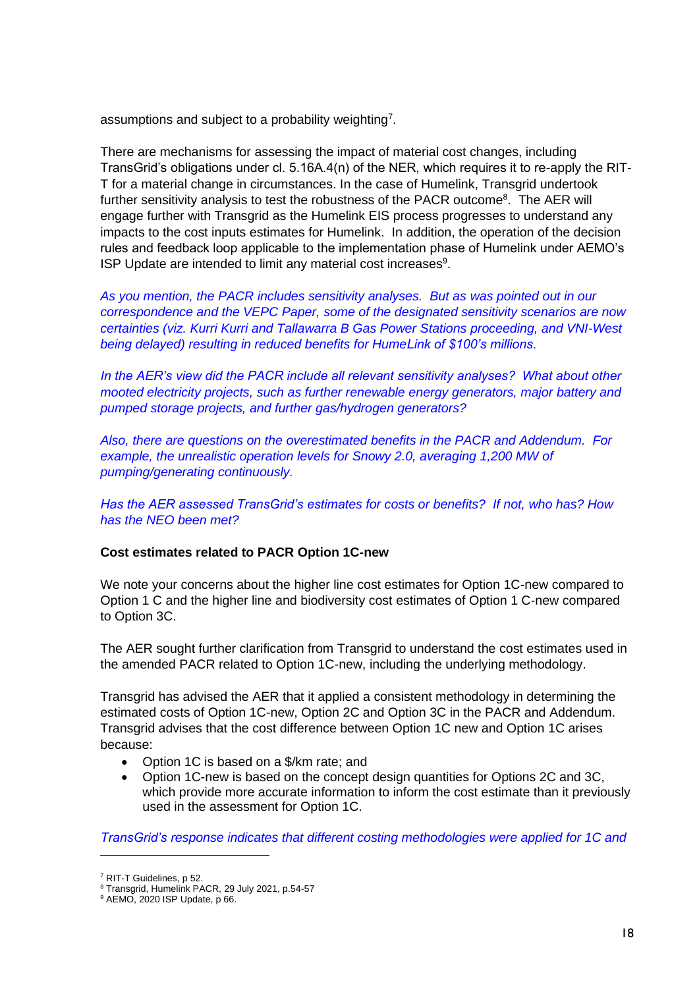assumptions and subject to a probability weighting<sup>7</sup>.

There are mechanisms for assessing the impact of material cost changes, including TransGrid's obligations under cl. 5.16A.4(n) of the NER, which requires it to re-apply the RIT-T for a material change in circumstances. In the case of Humelink, Transgrid undertook further sensitivity analysis to test the robustness of the PACR outcome<sup>8</sup>. The AER will engage further with Transgrid as the Humelink EIS process progresses to understand any impacts to the cost inputs estimates for Humelink. In addition, the operation of the decision rules and feedback loop applicable to the implementation phase of Humelink under AEMO's ISP Update are intended to limit any material cost increases $9$ .

*As you mention, the PACR includes sensitivity analyses. But as was pointed out in our correspondence and the VEPC Paper, some of the designated sensitivity scenarios are now certainties (viz. Kurri Kurri and Tallawarra B Gas Power Stations proceeding, and VNI-West being delayed) resulting in reduced benefits for HumeLink of \$100's millions.*

*In the AER's view did the PACR include all relevant sensitivity analyses? What about other mooted electricity projects, such as further renewable energy generators, major battery and pumped storage projects, and further gas/hydrogen generators?*

*Also, there are questions on the overestimated benefits in the PACR and Addendum. For example, the unrealistic operation levels for Snowy 2.0, averaging 1,200 MW of pumping/generating continuously.*

*Has the AER assessed TransGrid's estimates for costs or benefits? If not, who has? How has the NEO been met?*

### **Cost estimates related to PACR Option 1C-new**

We note your concerns about the higher line cost estimates for Option 1C-new compared to Option 1 C and the higher line and biodiversity cost estimates of Option 1 C-new compared to Option 3C.

The AER sought further clarification from Transgrid to understand the cost estimates used in the amended PACR related to Option 1C-new, including the underlying methodology.

Transgrid has advised the AER that it applied a consistent methodology in determining the estimated costs of Option 1C-new, Option 2C and Option 3C in the PACR and Addendum. Transgrid advises that the cost difference between Option 1C new and Option 1C arises because:

- Option 1C is based on a \$/km rate; and
- Option 1C-new is based on the concept design quantities for Options 2C and 3C, which provide more accurate information to inform the cost estimate than it previously used in the assessment for Option 1C.

*TransGrid's response indicates that different costing methodologies were applied for 1C and* 

<sup>7</sup> RIT-T Guidelines, p 52.

<sup>8</sup> Transgrid, Humelink PACR, 29 July 2021, p.54-57

<sup>9</sup> AEMO, 2020 ISP Update, p 66.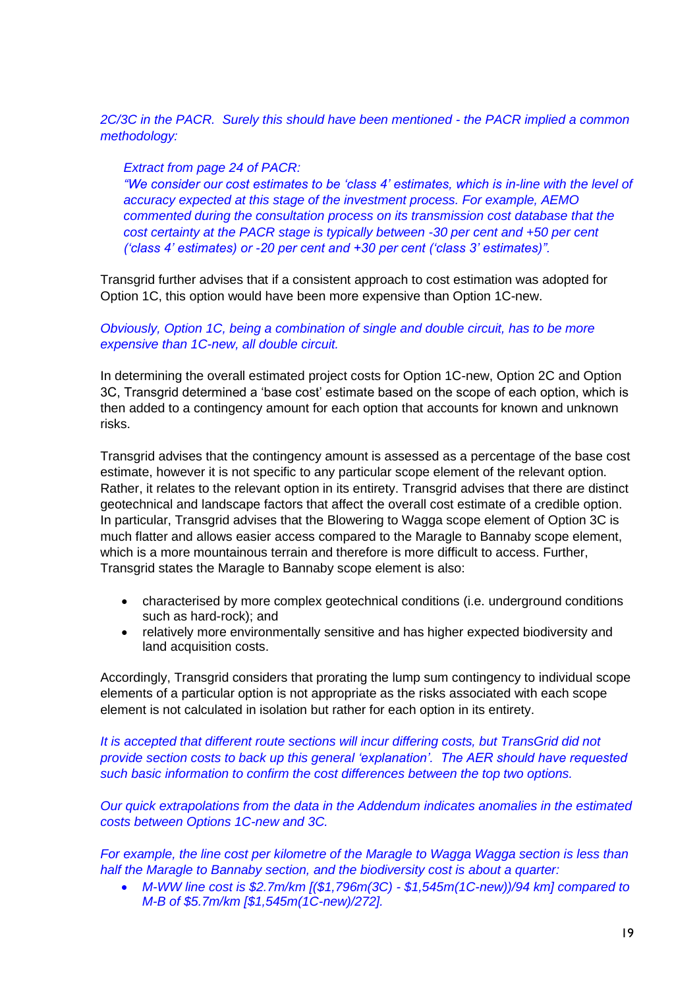*2C/3C in the PACR. Surely this should have been mentioned - the PACR implied a common methodology:*

#### *Extract from page 24 of PACR:*

*"We consider our cost estimates to be 'class 4' estimates, which is in-line with the level of accuracy expected at this stage of the investment process. For example, AEMO commented during the consultation process on its transmission cost database that the cost certainty at the PACR stage is typically between -30 per cent and +50 per cent ('class 4' estimates) or -20 per cent and +30 per cent ('class 3' estimates)".*

Transgrid further advises that if a consistent approach to cost estimation was adopted for Option 1C, this option would have been more expensive than Option 1C-new.

### *Obviously, Option 1C, being a combination of single and double circuit, has to be more expensive than 1C-new, all double circuit.*

In determining the overall estimated project costs for Option 1C-new, Option 2C and Option 3C, Transgrid determined a 'base cost' estimate based on the scope of each option, which is then added to a contingency amount for each option that accounts for known and unknown risks.

Transgrid advises that the contingency amount is assessed as a percentage of the base cost estimate, however it is not specific to any particular scope element of the relevant option. Rather, it relates to the relevant option in its entirety. Transgrid advises that there are distinct geotechnical and landscape factors that affect the overall cost estimate of a credible option. In particular, Transgrid advises that the Blowering to Wagga scope element of Option 3C is much flatter and allows easier access compared to the Maragle to Bannaby scope element, which is a more mountainous terrain and therefore is more difficult to access. Further, Transgrid states the Maragle to Bannaby scope element is also:

- characterised by more complex geotechnical conditions (i.e. underground conditions such as hard-rock); and
- relatively more environmentally sensitive and has higher expected biodiversity and land acquisition costs.

Accordingly, Transgrid considers that prorating the lump sum contingency to individual scope elements of a particular option is not appropriate as the risks associated with each scope element is not calculated in isolation but rather for each option in its entirety.

*It is accepted that different route sections will incur differing costs, but TransGrid did not provide section costs to back up this general 'explanation'. The AER should have requested such basic information to confirm the cost differences between the top two options.*

*Our quick extrapolations from the data in the Addendum indicates anomalies in the estimated costs between Options 1C-new and 3C.* 

*For example, the line cost per kilometre of the Maragle to Wagga Wagga section is less than half the Maragle to Bannaby section, and the biodiversity cost is about a quarter:*

• *M-WW line cost is \$2.7m/km [(\$1,796m(3C) - \$1,545m(1C-new))/94 km] compared to M-B of \$5.7m/km [\$1,545m(1C-new)/272].*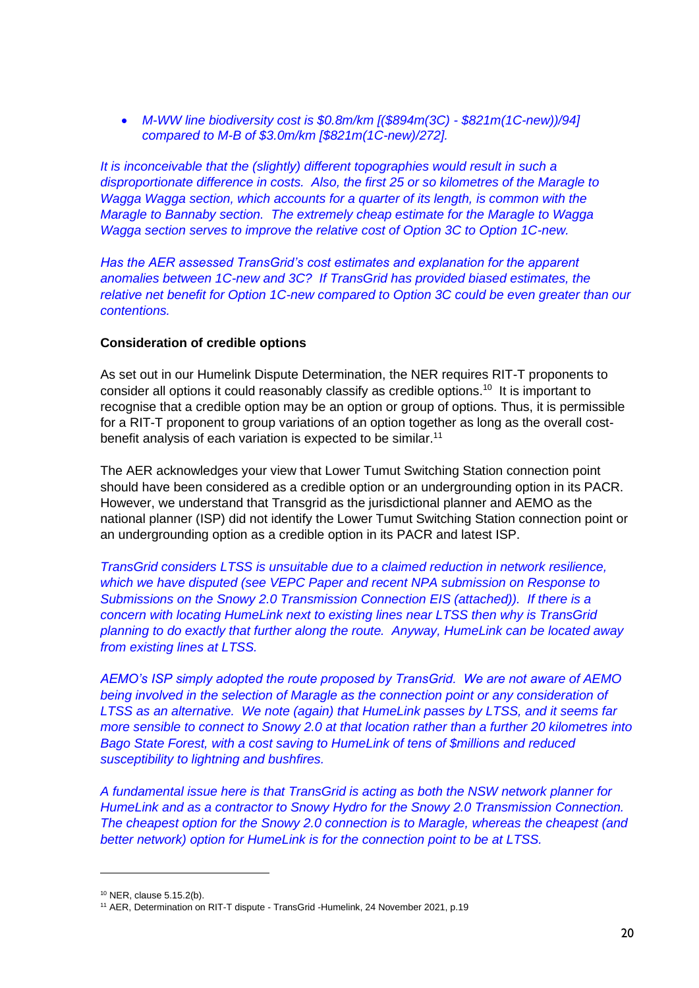• *M-WW line biodiversity cost is \$0.8m/km [(\$894m(3C) - \$821m(1C-new))/94] compared to M-B of \$3.0m/km [\$821m(1C-new)/272].*

*It is inconceivable that the (slightly) different topographies would result in such a disproportionate difference in costs. Also, the first 25 or so kilometres of the Maragle to Wagga Wagga section, which accounts for a quarter of its length, is common with the Maragle to Bannaby section. The extremely cheap estimate for the Maragle to Wagga Wagga section serves to improve the relative cost of Option 3C to Option 1C-new.*

*Has the AER assessed TransGrid's cost estimates and explanation for the apparent anomalies between 1C-new and 3C? If TransGrid has provided biased estimates, the relative net benefit for Option 1C-new compared to Option 3C could be even greater than our contentions.*

### **Consideration of credible options**

As set out in our Humelink Dispute Determination, the NER requires RIT-T proponents to consider all options it could reasonably classify as credible options.<sup>10</sup> It is important to recognise that a credible option may be an option or group of options. Thus, it is permissible for a RIT-T proponent to group variations of an option together as long as the overall costbenefit analysis of each variation is expected to be similar.<sup>11</sup>

The AER acknowledges your view that Lower Tumut Switching Station connection point should have been considered as a credible option or an undergrounding option in its PACR. However, we understand that Transgrid as the jurisdictional planner and AEMO as the national planner (ISP) did not identify the Lower Tumut Switching Station connection point or an undergrounding option as a credible option in its PACR and latest ISP.

*TransGrid considers LTSS is unsuitable due to a claimed reduction in network resilience, which we have disputed (see VEPC Paper and recent NPA submission on Response to Submissions on the Snowy 2.0 Transmission Connection EIS (attached)). If there is a concern with locating HumeLink next to existing lines near LTSS then why is TransGrid planning to do exactly that further along the route. Anyway, HumeLink can be located away from existing lines at LTSS.*

*AEMO's ISP simply adopted the route proposed by TransGrid. We are not aware of AEMO*  being involved in the selection of Maragle as the connection point or any consideration of *LTSS as an alternative. We note (again) that HumeLink passes by LTSS, and it seems far more sensible to connect to Snowy 2.0 at that location rather than a further 20 kilometres into Bago State Forest, with a cost saving to HumeLink of tens of \$millions and reduced susceptibility to lightning and bushfires.* 

*A fundamental issue here is that TransGrid is acting as both the NSW network planner for HumeLink and as a contractor to Snowy Hydro for the Snowy 2.0 Transmission Connection. The cheapest option for the Snowy 2.0 connection is to Maragle, whereas the cheapest (and better network) option for HumeLink is for the connection point to be at LTSS.*

<sup>10</sup> NER, clause 5.15.2(b).

<sup>&</sup>lt;sup>11</sup> AER, Determination on RIT-T dispute - TransGrid -Humelink, 24 November 2021, p.19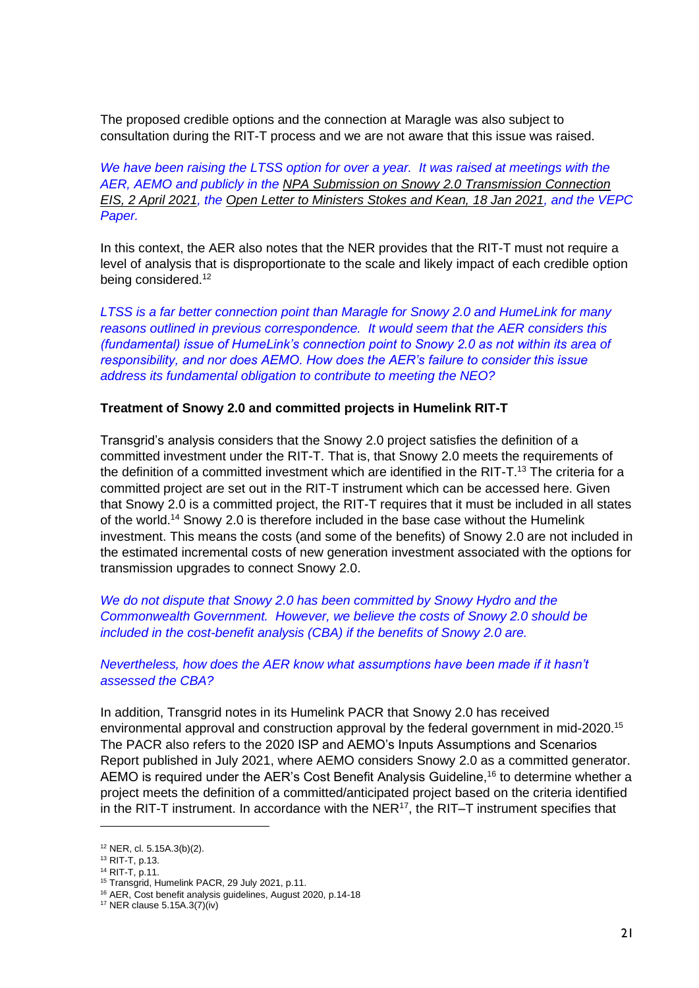The proposed credible options and the connection at Maragle was also subject to consultation during the RIT-T process and we are not aware that this issue was raised.

*We have been raising the LTSS option for over a year. It was raised at meetings with the AER, AEMO and publicly in the NPA Submission on Snowy 2.0 Transmission Connection EIS, 2 April 2021, the Open Letter to Ministers Stokes and Kean, 18 Jan 2021, and the VEPC Paper.*

In this context, the AER also notes that the NER provides that the RIT-T must not require a level of analysis that is disproportionate to the scale and likely impact of each credible option being considered.<sup>12</sup>

*LTSS is a far better connection point than Maragle for Snowy 2.0 and HumeLink for many reasons outlined in previous correspondence. It would seem that the AER considers this (fundamental) issue of HumeLink's connection point to Snowy 2.0 as not within its area of responsibility, and nor does AEMO. How does the AER's failure to consider this issue address its fundamental obligation to contribute to meeting the NEO?* 

### **Treatment of Snowy 2.0 and committed projects in Humelink RIT-T**

Transgrid's analysis considers that the Snowy 2.0 project satisfies the definition of a committed investment under the RIT-T. That is, that Snowy 2.0 meets the requirements of the definition of a committed investment which are identified in the RIT-T.<sup>13</sup> The criteria for a committed project are set out in the RIT-T instrument which can be accessed here. Given that Snowy 2.0 is a committed project, the RIT-T requires that it must be included in all states of the world.<sup>14</sup> Snowy 2.0 is therefore included in the base case without the Humelink investment. This means the costs (and some of the benefits) of Snowy 2.0 are not included in the estimated incremental costs of new generation investment associated with the options for transmission upgrades to connect Snowy 2.0.

*We do not dispute that Snowy 2.0 has been committed by Snowy Hydro and the Commonwealth Government. However, we believe the costs of Snowy 2.0 should be included in the cost-benefit analysis (CBA) if the benefits of Snowy 2.0 are.*

*Nevertheless, how does the AER know what assumptions have been made if it hasn't assessed the CBA?*

In addition, Transgrid notes in its Humelink PACR that Snowy 2.0 has received environmental approval and construction approval by the federal government in mid-2020.<sup>15</sup> The PACR also refers to the 2020 ISP and AEMO's Inputs Assumptions and Scenarios Report published in July 2021, where AEMO considers Snowy 2.0 as a committed generator. AEMO is required under the AER's Cost Benefit Analysis Guideline,<sup>16</sup> to determine whether a project meets the definition of a committed/anticipated project based on the criteria identified in the RIT-T instrument. In accordance with the  $NER^{17}$ , the RIT-T instrument specifies that

<sup>12</sup> NER, cl. 5.15A.3(b)(2).

<sup>13</sup> RIT-T, p.13.

<sup>14</sup> RIT-T, p.11.

<sup>15</sup> Transgrid, Humelink PACR, 29 July 2021, p.11.

<sup>16</sup> AER, Cost benefit analysis guidelines, August 2020, p.14-18

<sup>17</sup> NER clause 5.15A.3(7)(iv)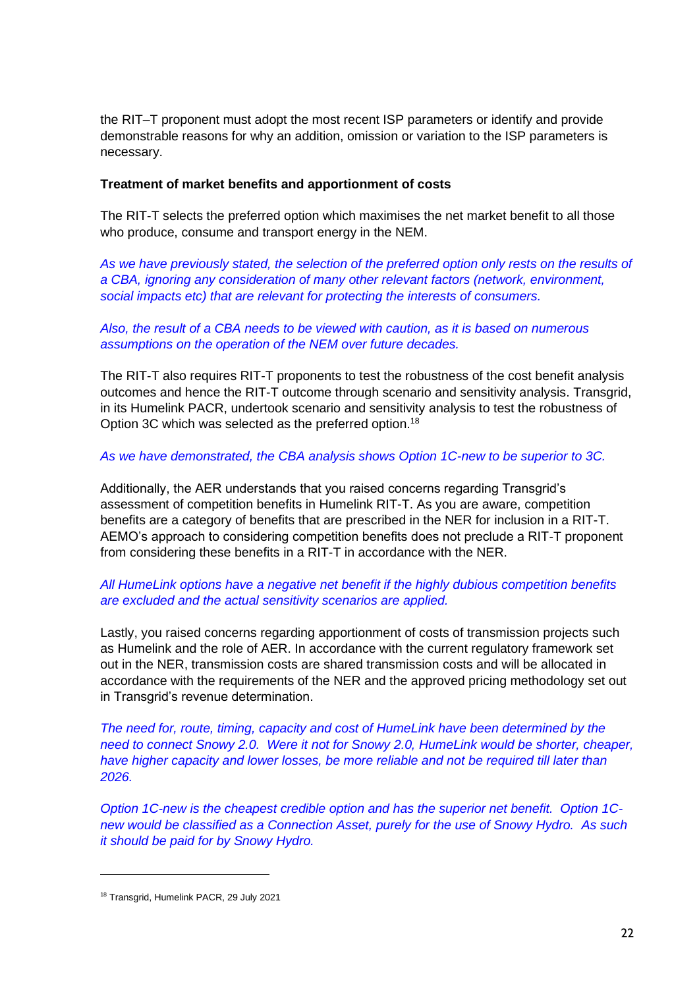the RIT–T proponent must adopt the most recent ISP parameters or identify and provide demonstrable reasons for why an addition, omission or variation to the ISP parameters is necessary.

### **Treatment of market benefits and apportionment of costs**

The RIT-T selects the preferred option which maximises the net market benefit to all those who produce, consume and transport energy in the NEM.

*As we have previously stated, the selection of the preferred option only rests on the results of a CBA, ignoring any consideration of many other relevant factors (network, environment, social impacts etc) that are relevant for protecting the interests of consumers.*

### *Also, the result of a CBA needs to be viewed with caution, as it is based on numerous assumptions on the operation of the NEM over future decades.*

The RIT-T also requires RIT-T proponents to test the robustness of the cost benefit analysis outcomes and hence the RIT-T outcome through scenario and sensitivity analysis. Transgrid, in its Humelink PACR, undertook scenario and sensitivity analysis to test the robustness of Option 3C which was selected as the preferred option.<sup>18</sup>

### *As we have demonstrated, the CBA analysis shows Option 1C-new to be superior to 3C.*

Additionally, the AER understands that you raised concerns regarding Transgrid's assessment of competition benefits in Humelink RIT-T. As you are aware, competition benefits are a category of benefits that are prescribed in the NER for inclusion in a RIT-T. AEMO's approach to considering competition benefits does not preclude a RIT-T proponent from considering these benefits in a RIT-T in accordance with the NER.

## *All HumeLink options have a negative net benefit if the highly dubious competition benefits are excluded and the actual sensitivity scenarios are applied.*

Lastly, you raised concerns regarding apportionment of costs of transmission projects such as Humelink and the role of AER. In accordance with the current regulatory framework set out in the NER, transmission costs are shared transmission costs and will be allocated in accordance with the requirements of the NER and the approved pricing methodology set out in Transgrid's revenue determination.

*The need for, route, timing, capacity and cost of HumeLink have been determined by the need to connect Snowy 2.0. Were it not for Snowy 2.0, HumeLink would be shorter, cheaper, have higher capacity and lower losses, be more reliable and not be required till later than 2026.*

*Option 1C-new is the cheapest credible option and has the superior net benefit. Option 1Cnew would be classified as a Connection Asset, purely for the use of Snowy Hydro. As such it should be paid for by Snowy Hydro.*

<sup>18</sup> Transgrid, Humelink PACR, 29 July 2021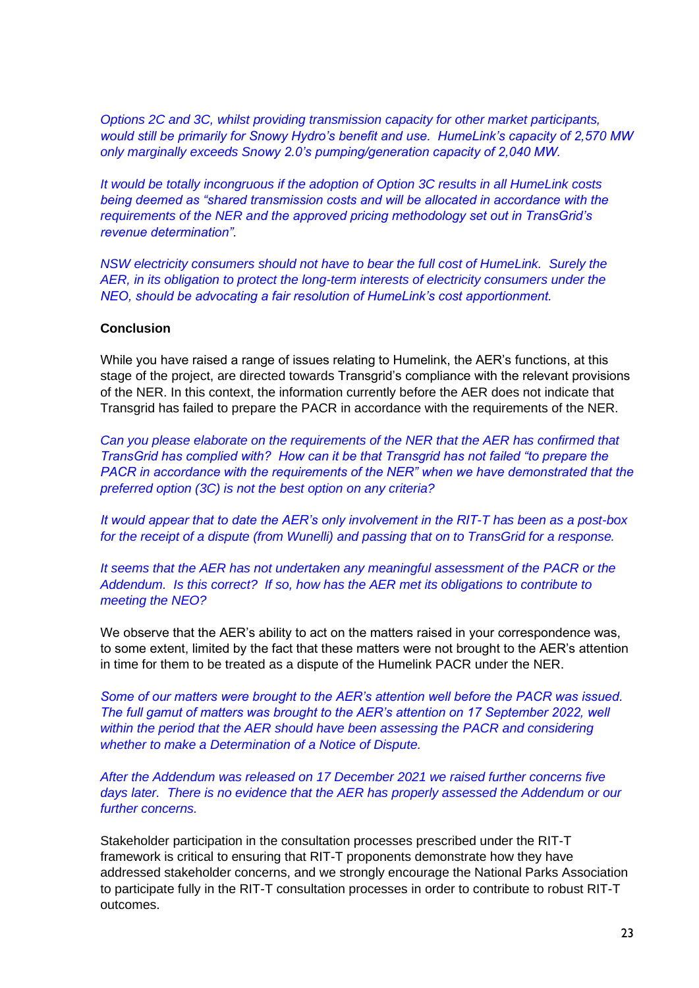*Options 2C and 3C, whilst providing transmission capacity for other market participants, would still be primarily for Snowy Hydro's benefit and use. HumeLink's capacity of 2,570 MW only marginally exceeds Snowy 2.0's pumping/generation capacity of 2,040 MW.*

*It would be totally incongruous if the adoption of Option 3C results in all HumeLink costs being deemed as "shared transmission costs and will be allocated in accordance with the requirements of the NER and the approved pricing methodology set out in TransGrid's revenue determination".* 

*NSW electricity consumers should not have to bear the full cost of HumeLink. Surely the AER, in its obligation to protect the long-term interests of electricity consumers under the NEO, should be advocating a fair resolution of HumeLink's cost apportionment.*

### **Conclusion**

While you have raised a range of issues relating to Humelink, the AER's functions, at this stage of the project, are directed towards Transgrid's compliance with the relevant provisions of the NER. In this context, the information currently before the AER does not indicate that Transgrid has failed to prepare the PACR in accordance with the requirements of the NER.

*Can you please elaborate on the requirements of the NER that the AER has confirmed that TransGrid has complied with? How can it be that Transgrid has not failed "to prepare the PACR in accordance with the requirements of the NER" when we have demonstrated that the preferred option (3C) is not the best option on any criteria?*

*It would appear that to date the AER's only involvement in the RIT-T has been as a post-box for the receipt of a dispute (from Wunelli) and passing that on to TransGrid for a response.* 

It seems that the AER has not undertaken any meaningful assessment of the PACR or the *Addendum. Is this correct? If so, how has the AER met its obligations to contribute to meeting the NEO?*

We observe that the AER's ability to act on the matters raised in your correspondence was, to some extent, limited by the fact that these matters were not brought to the AER's attention in time for them to be treated as a dispute of the Humelink PACR under the NER.

*Some of our matters were brought to the AER's attention well before the PACR was issued. The full gamut of matters was brought to the AER's attention on 17 September 2022, well within the period that the AER should have been assessing the PACR and considering whether to make a Determination of a Notice of Dispute.*

*After the Addendum was released on 17 December 2021 we raised further concerns five days later. There is no evidence that the AER has properly assessed the Addendum or our further concerns.*

Stakeholder participation in the consultation processes prescribed under the RIT-T framework is critical to ensuring that RIT-T proponents demonstrate how they have addressed stakeholder concerns, and we strongly encourage the National Parks Association to participate fully in the RIT-T consultation processes in order to contribute to robust RIT-T outcomes.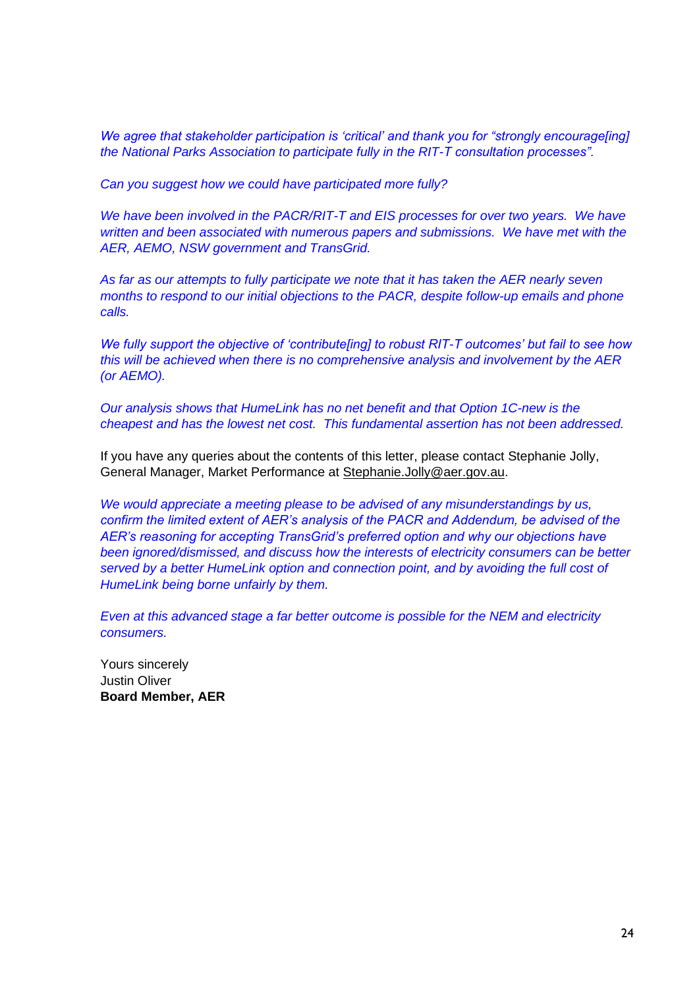*We agree that stakeholder participation is 'critical' and thank you for "strongly encourage[ing] the National Parks Association to participate fully in the RIT-T consultation processes".*

*Can you suggest how we could have participated more fully?*

*We have been involved in the PACR/RIT-T and EIS processes for over two years. We have written and been associated with numerous papers and submissions. We have met with the AER, AEMO, NSW government and TransGrid.* 

*As far as our attempts to fully participate we note that it has taken the AER nearly seven months to respond to our initial objections to the PACR, despite follow-up emails and phone calls.* 

*We fully support the objective of 'contribute[ing] to robust RIT-T outcomes' but fail to see how this will be achieved when there is no comprehensive analysis and involvement by the AER (or AEMO).*

*Our analysis shows that HumeLink has no net benefit and that Option 1C-new is the cheapest and has the lowest net cost. This fundamental assertion has not been addressed.*

If you have any queries about the contents of this letter, please contact Stephanie Jolly, General Manager, Market Performance at Stephanie.Jolly@aer.gov.au.

*We would appreciate a meeting please to be advised of any misunderstandings by us, confirm the limited extent of AER's analysis of the PACR and Addendum, be advised of the AER's reasoning for accepting TransGrid's preferred option and why our objections have been ignored/dismissed, and discuss how the interests of electricity consumers can be better served by a better HumeLink option and connection point, and by avoiding the full cost of HumeLink being borne unfairly by them.*

*Even at this advanced stage a far better outcome is possible for the NEM and electricity consumers.*

Yours sincerely Justin Oliver **Board Member, AER**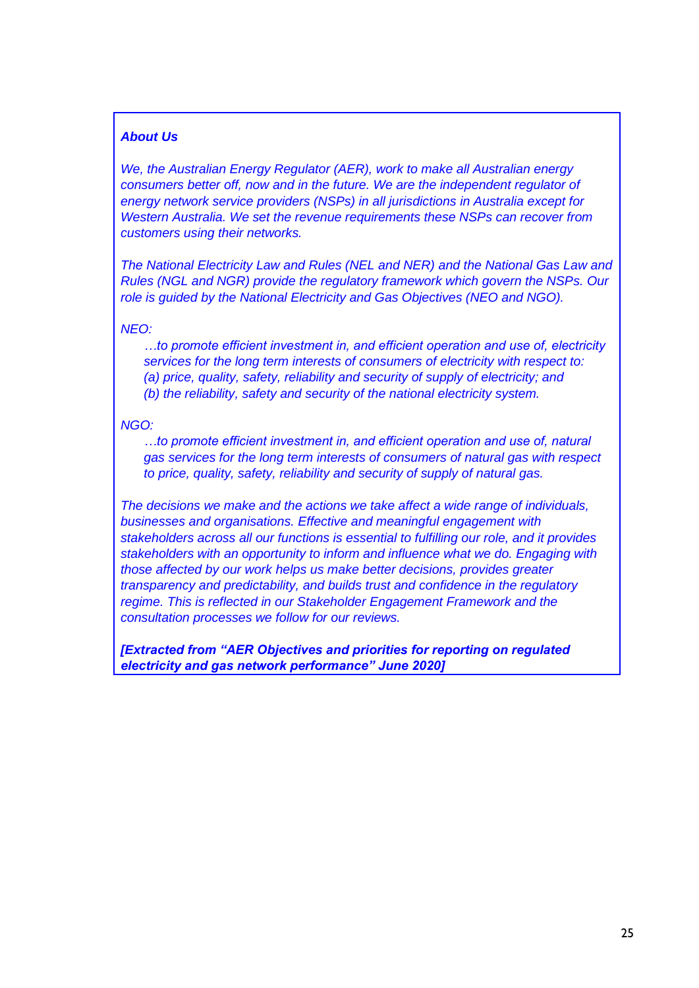### *About Us*

*We, the Australian Energy Regulator (AER), work to make all Australian energy consumers better off, now and in the future. We are the independent regulator of energy network service providers (NSPs) in all jurisdictions in Australia except for Western Australia. We set the revenue requirements these NSPs can recover from customers using their networks.* 

*The National Electricity Law and Rules (NEL and NER) and the National Gas Law and Rules (NGL and NGR) provide the regulatory framework which govern the NSPs. Our role is guided by the National Electricity and Gas Objectives (NEO and NGO).*

#### *NEO:*

*…to promote efficient investment in, and efficient operation and use of, electricity services for the long term interests of consumers of electricity with respect to: (a) price, quality, safety, reliability and security of supply of electricity; and (b) the reliability, safety and security of the national electricity system.*

#### *NGO:*

*…to promote efficient investment in, and efficient operation and use of, natural gas services for the long term interests of consumers of natural gas with respect to price, quality, safety, reliability and security of supply of natural gas.*

*The decisions we make and the actions we take affect a wide range of individuals, businesses and organisations. Effective and meaningful engagement with stakeholders across all our functions is essential to fulfilling our role, and it provides stakeholders with an opportunity to inform and influence what we do. Engaging with those affected by our work helps us make better decisions, provides greater transparency and predictability, and builds trust and confidence in the regulatory regime. This is reflected in our Stakeholder Engagement Framework and the consultation processes we follow for our reviews.*

*[Extracted from "AER Objectives and priorities for reporting on regulated electricity and gas network performance" June 2020]*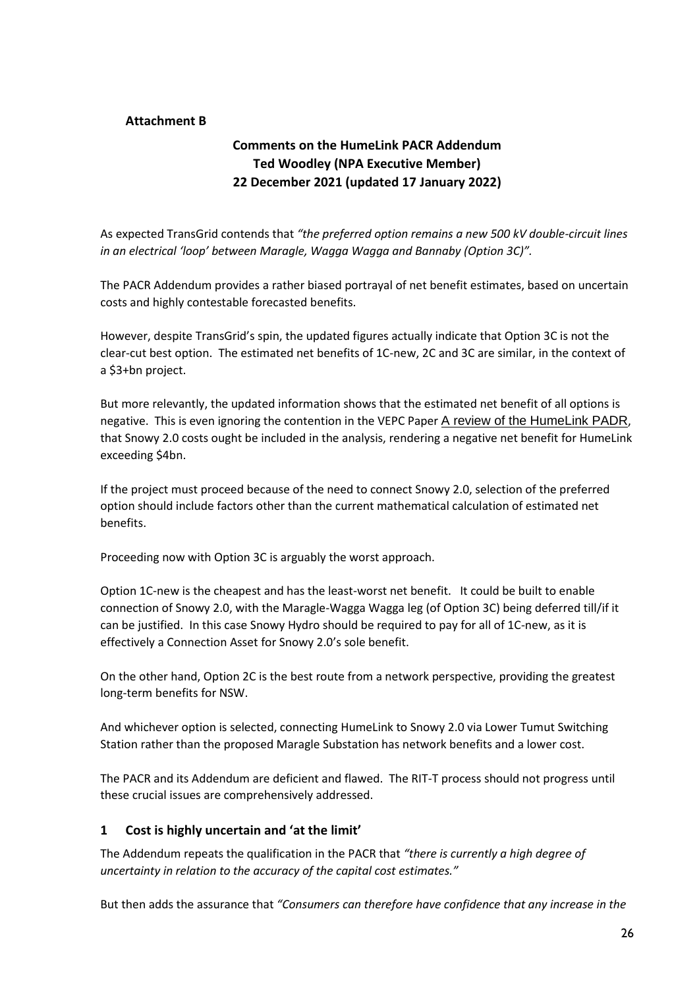### **Attachment B**

# **Comments on the HumeLink PACR Addendum Ted Woodley (NPA Executive Member) 22 December 2021 (updated 17 January 2022)**

As expected TransGrid contends that *"the preferred option remains a new 500 kV double-circuit lines in an electrical 'loop' between Maragle, Wagga Wagga and Bannaby (Option 3C)".*

The PACR Addendum provides a rather biased portrayal of net benefit estimates, based on uncertain costs and highly contestable forecasted benefits.

However, despite TransGrid's spin, the updated figures actually indicate that Option 3C is not the clear-cut best option. The estimated net benefits of 1C-new, 2C and 3C are similar, in the context of a \$3+bn project.

But more relevantly, the updated information shows that the estimated net benefit of all options is negative. This is even ignoring the contention in the VEPC Paper A review of the HumeLink PADR, that Snowy 2.0 costs ought be included in the analysis, rendering a negative net benefit for HumeLink exceeding \$4bn.

If the project must proceed because of the need to connect Snowy 2.0, selection of the preferred option should include factors other than the current mathematical calculation of estimated net benefits.

Proceeding now with Option 3C is arguably the worst approach.

Option 1C-new is the cheapest and has the least-worst net benefit. It could be built to enable connection of Snowy 2.0, with the Maragle-Wagga Wagga leg (of Option 3C) being deferred till/if it can be justified. In this case Snowy Hydro should be required to pay for all of 1C-new, as it is effectively a Connection Asset for Snowy 2.0's sole benefit.

On the other hand, Option 2C is the best route from a network perspective, providing the greatest long-term benefits for NSW.

And whichever option is selected, connecting HumeLink to Snowy 2.0 via Lower Tumut Switching Station rather than the proposed Maragle Substation has network benefits and a lower cost.

The PACR and its Addendum are deficient and flawed. The RIT-T process should not progress until these crucial issues are comprehensively addressed.

### **1 Cost is highly uncertain and 'at the limit'**

The Addendum repeats the qualification in the PACR that *"there is currently a high degree of uncertainty in relation to the accuracy of the capital cost estimates."*

But then adds the assurance that *"Consumers can therefore have confidence that any increase in the*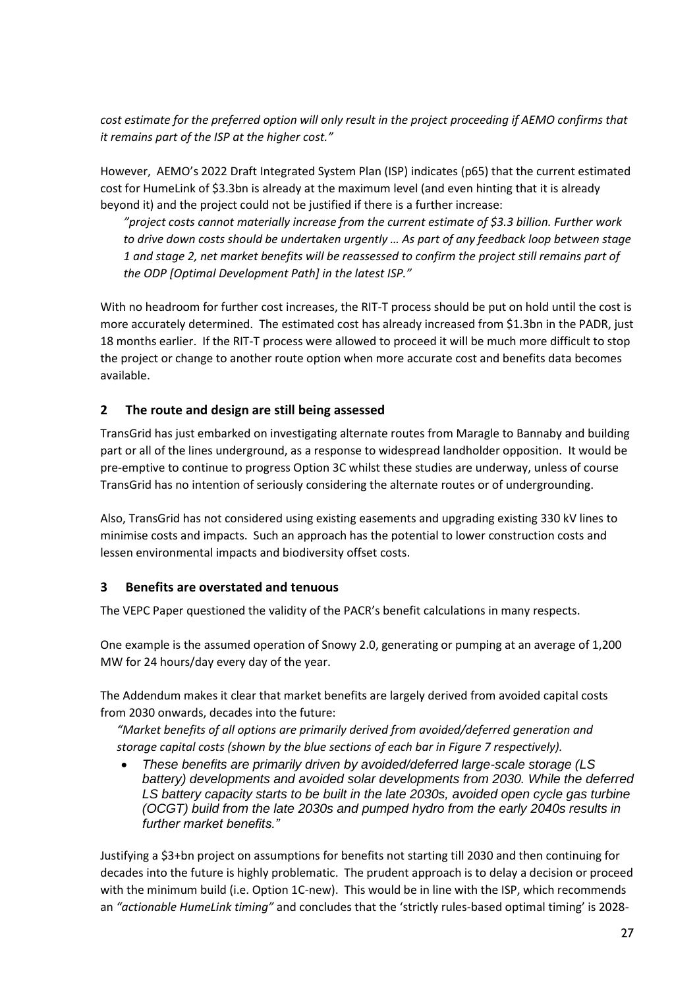*cost estimate for the preferred option will only result in the project proceeding if AEMO confirms that it remains part of the ISP at the higher cost."*

However, AEMO's 2022 Draft Integrated System Plan (ISP) indicates (p65) that the current estimated cost for HumeLink of \$3.3bn is already at the maximum level (and even hinting that it is already beyond it) and the project could not be justified if there is a further increase:

*"project costs cannot materially increase from the current estimate of \$3.3 billion. Further work to drive down costs should be undertaken urgently … As part of any feedback loop between stage 1 and stage 2, net market benefits will be reassessed to confirm the project still remains part of the ODP [Optimal Development Path] in the latest ISP."*

With no headroom for further cost increases, the RIT-T process should be put on hold until the cost is more accurately determined. The estimated cost has already increased from \$1.3bn in the PADR, just 18 months earlier. If the RIT-T process were allowed to proceed it will be much more difficult to stop the project or change to another route option when more accurate cost and benefits data becomes available.

## **2 The route and design are still being assessed**

TransGrid has just embarked on investigating alternate routes from Maragle to Bannaby and building part or all of the lines underground, as a response to widespread landholder opposition. It would be pre-emptive to continue to progress Option 3C whilst these studies are underway, unless of course TransGrid has no intention of seriously considering the alternate routes or of undergrounding.

Also, TransGrid has not considered using existing easements and upgrading existing 330 kV lines to minimise costs and impacts. Such an approach has the potential to lower construction costs and lessen environmental impacts and biodiversity offset costs.

### **3 Benefits are overstated and tenuous**

The VEPC Paper questioned the validity of the PACR's benefit calculations in many respects.

One example is the assumed operation of Snowy 2.0, generating or pumping at an average of 1,200 MW for 24 hours/day every day of the year.

The Addendum makes it clear that market benefits are largely derived from avoided capital costs from 2030 onwards, decades into the future:

*"Market benefits of all options are primarily derived from avoided/deferred generation and storage capital costs (shown by the blue sections of each bar in Figure 7 respectively).*

• *These benefits are primarily driven by avoided/deferred large-scale storage (LS battery) developments and avoided solar developments from 2030. While the deferred LS battery capacity starts to be built in the late 2030s, avoided open cycle gas turbine (OCGT) build from the late 2030s and pumped hydro from the early 2040s results in further market benefits."*

Justifying a \$3+bn project on assumptions for benefits not starting till 2030 and then continuing for decades into the future is highly problematic. The prudent approach is to delay a decision or proceed with the minimum build (i.e. Option 1C-new). This would be in line with the ISP, which recommends an *"actionable HumeLink timing"* and concludes that the 'strictly rules-based optimal timing' is 2028-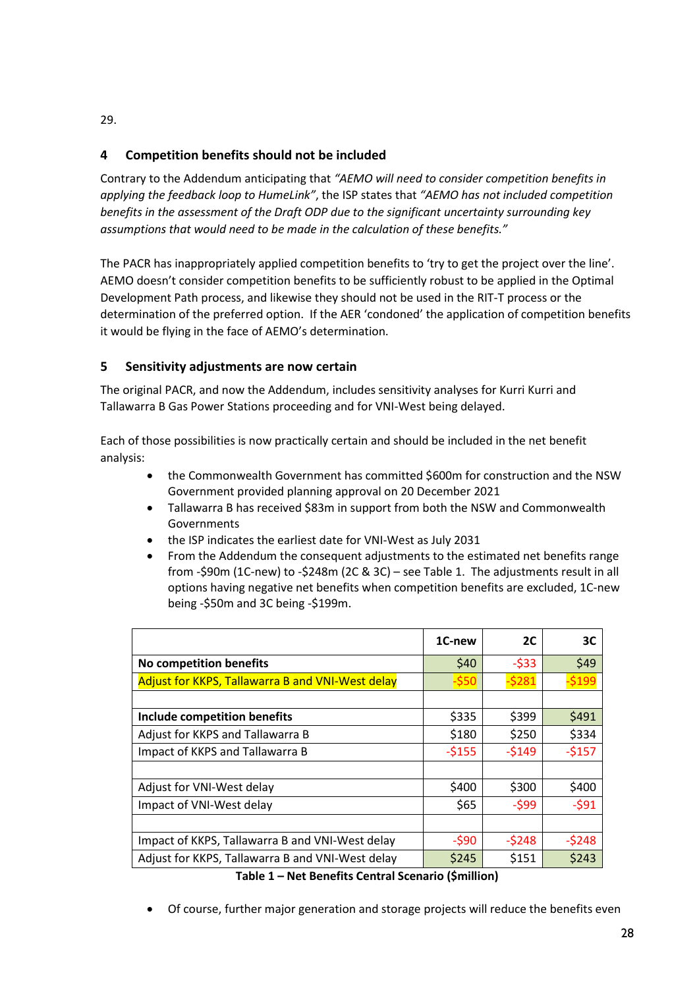### 29.

# **4 Competition benefits should not be included**

Contrary to the Addendum anticipating that *"AEMO will need to consider competition benefits in applying the feedback loop to HumeLink"*, the ISP states that *"AEMO has not included competition benefits in the assessment of the Draft ODP due to the significant uncertainty surrounding key assumptions that would need to be made in the calculation of these benefits."*

The PACR has inappropriately applied competition benefits to 'try to get the project over the line'. AEMO doesn't consider competition benefits to be sufficiently robust to be applied in the Optimal Development Path process, and likewise they should not be used in the RIT-T process or the determination of the preferred option. If the AER 'condoned' the application of competition benefits it would be flying in the face of AEMO's determination.

# **5 Sensitivity adjustments are now certain**

The original PACR, and now the Addendum, includes sensitivity analyses for Kurri Kurri and Tallawarra B Gas Power Stations proceeding and for VNI-West being delayed.

Each of those possibilities is now practically certain and should be included in the net benefit analysis:

- the Commonwealth Government has committed \$600m for construction and the NSW Government provided planning approval on 20 December 2021
- Tallawarra B has received \$83m in support from both the NSW and Commonwealth Governments
- the ISP indicates the earliest date for VNI-West as July 2031
- From the Addendum the consequent adjustments to the estimated net benefits range from -\$90m (1C-new) to -\$248m (2C & 3C) – see Table 1. The adjustments result in all options having negative net benefits when competition benefits are excluded, 1C-new being -\$50m and 3C being -\$199m.

|                                                  | 1C-new  | 2C      | 3C           |
|--------------------------------------------------|---------|---------|--------------|
| No competition benefits                          | \$40    | $-533$  | \$49         |
| Adjust for KKPS, Tallawarra B and VNI-West delay | $-550$  | $-5281$ | <u>\$199</u> |
|                                                  |         |         |              |
| Include competition benefits                     | \$335   | \$399   | \$491        |
| Adjust for KKPS and Tallawarra B                 | \$180   | \$250   | \$334        |
| Impact of KKPS and Tallawarra B                  | $-5155$ | $-5149$ | $-5157$      |
|                                                  |         |         |              |
| Adjust for VNI-West delay                        | \$400   | \$300   | \$400        |
| Impact of VNI-West delay                         | \$65    | $-599$  | $-591$       |
|                                                  |         |         |              |
| Impact of KKPS, Tallawarra B and VNI-West delay  | $-590$  | $-5248$ | $-5248$      |
| Adjust for KKPS, Tallawarra B and VNI-West delay | \$245   | \$151   | \$243        |

**Table 1 – Net Benefits Central Scenario (\$million)**

• Of course, further major generation and storage projects will reduce the benefits even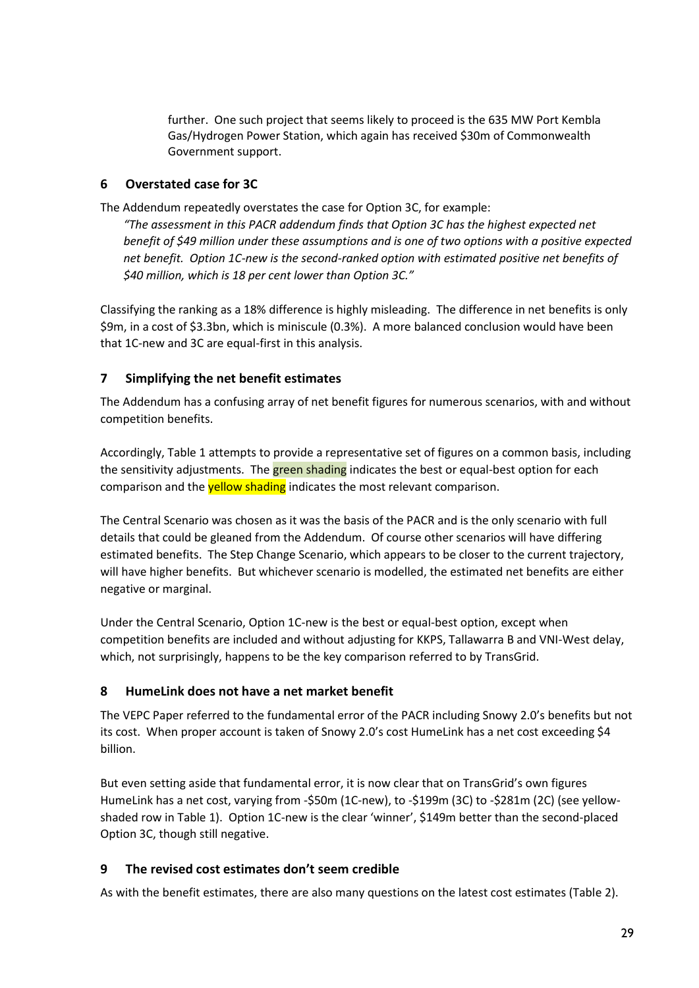further. One such project that seems likely to proceed is the 635 MW Port Kembla Gas/Hydrogen Power Station, which again has received \$30m of Commonwealth Government support.

### **6 Overstated case for 3C**

The Addendum repeatedly overstates the case for Option 3C, for example:

*"The assessment in this PACR addendum finds that Option 3C has the highest expected net benefit of \$49 million under these assumptions and is one of two options with a positive expected net benefit. Option 1C-new is the second-ranked option with estimated positive net benefits of \$40 million, which is 18 per cent lower than Option 3C."*

Classifying the ranking as a 18% difference is highly misleading. The difference in net benefits is only \$9m, in a cost of \$3.3bn, which is miniscule (0.3%). A more balanced conclusion would have been that 1C-new and 3C are equal-first in this analysis.

### **7 Simplifying the net benefit estimates**

The Addendum has a confusing array of net benefit figures for numerous scenarios, with and without competition benefits.

Accordingly, Table 1 attempts to provide a representative set of figures on a common basis, including the sensitivity adjustments. The **green shading** indicates the best or equal-best option for each comparison and the **yellow shading** indicates the most relevant comparison.

The Central Scenario was chosen as it was the basis of the PACR and is the only scenario with full details that could be gleaned from the Addendum. Of course other scenarios will have differing estimated benefits. The Step Change Scenario, which appears to be closer to the current trajectory, will have higher benefits. But whichever scenario is modelled, the estimated net benefits are either negative or marginal.

Under the Central Scenario, Option 1C-new is the best or equal-best option, except when competition benefits are included and without adjusting for KKPS, Tallawarra B and VNI-West delay, which, not surprisingly, happens to be the key comparison referred to by TransGrid.

### **8 HumeLink does not have a net market benefit**

The VEPC Paper referred to the fundamental error of the PACR including Snowy 2.0's benefits but not its cost. When proper account is taken of Snowy 2.0's cost HumeLink has a net cost exceeding \$4 billion.

But even setting aside that fundamental error, it is now clear that on TransGrid's own figures HumeLink has a net cost, varying from -\$50m (1C-new), to -\$199m (3C) to -\$281m (2C) (see yellowshaded row in Table 1). Option 1C-new is the clear 'winner', \$149m better than the second-placed Option 3C, though still negative.

### **9 The revised cost estimates don't seem credible**

As with the benefit estimates, there are also many questions on the latest cost estimates (Table 2).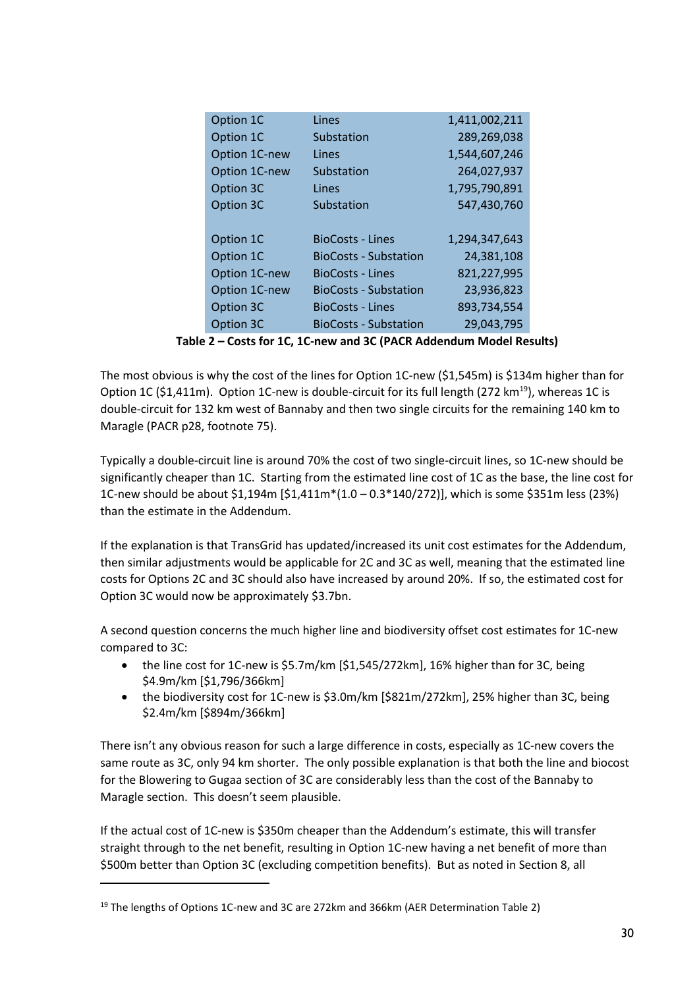| Option 1C     | Lines                        | 1,411,002,211 |
|---------------|------------------------------|---------------|
| Option 1C     | Substation                   | 289,269,038   |
| Option 1C-new | Lines                        | 1,544,607,246 |
| Option 1C-new | Substation                   | 264,027,937   |
| Option 3C     | Lines                        | 1,795,790,891 |
| Option 3C     | Substation                   | 547,430,760   |
|               |                              |               |
| Option 1C     | <b>BioCosts - Lines</b>      | 1,294,347,643 |
| Option 1C     | <b>BioCosts - Substation</b> | 24,381,108    |
| Option 1C-new | <b>BioCosts - Lines</b>      | 821,227,995   |
| Option 1C-new | <b>BioCosts - Substation</b> | 23,936,823    |
| Option 3C     | <b>BioCosts - Lines</b>      | 893,734,554   |
| Option 3C     | <b>BioCosts - Substation</b> | 29,043,795    |
|               |                              |               |

**Table 2 – Costs for 1C, 1C-new and 3C (PACR Addendum Model Results)**

The most obvious is why the cost of the lines for Option 1C-new (\$1,545m) is \$134m higher than for Option 1C (\$1,411m). Option 1C-new is double-circuit for its full length (272 km<sup>19</sup>), whereas 1C is double-circuit for 132 km west of Bannaby and then two single circuits for the remaining 140 km to Maragle (PACR p28, footnote 75).

Typically a double-circuit line is around 70% the cost of two single-circuit lines, so 1C-new should be significantly cheaper than 1C. Starting from the estimated line cost of 1C as the base, the line cost for 1C-new should be about \$1,194m [\$1,411m\*(1.0 – 0.3\*140/272)], which is some \$351m less (23%) than the estimate in the Addendum.

If the explanation is that TransGrid has updated/increased its unit cost estimates for the Addendum, then similar adjustments would be applicable for 2C and 3C as well, meaning that the estimated line costs for Options 2C and 3C should also have increased by around 20%. If so, the estimated cost for Option 3C would now be approximately \$3.7bn.

A second question concerns the much higher line and biodiversity offset cost estimates for 1C-new compared to 3C:

- the line cost for 1C-new is \$5.7m/km [\$1,545/272km], 16% higher than for 3C, being \$4.9m/km [\$1,796/366km]
- the biodiversity cost for 1C-new is \$3.0m/km [\$821m/272km], 25% higher than 3C, being \$2.4m/km [\$894m/366km]

There isn't any obvious reason for such a large difference in costs, especially as 1C-new covers the same route as 3C, only 94 km shorter. The only possible explanation is that both the line and biocost for the Blowering to Gugaa section of 3C are considerably less than the cost of the Bannaby to Maragle section. This doesn't seem plausible.

If the actual cost of 1C-new is \$350m cheaper than the Addendum's estimate, this will transfer straight through to the net benefit, resulting in Option 1C-new having a net benefit of more than \$500m better than Option 3C (excluding competition benefits). But as noted in Section 8, all

<sup>&</sup>lt;sup>19</sup> The lengths of Options 1C-new and 3C are 272km and 366km (AER Determination Table 2)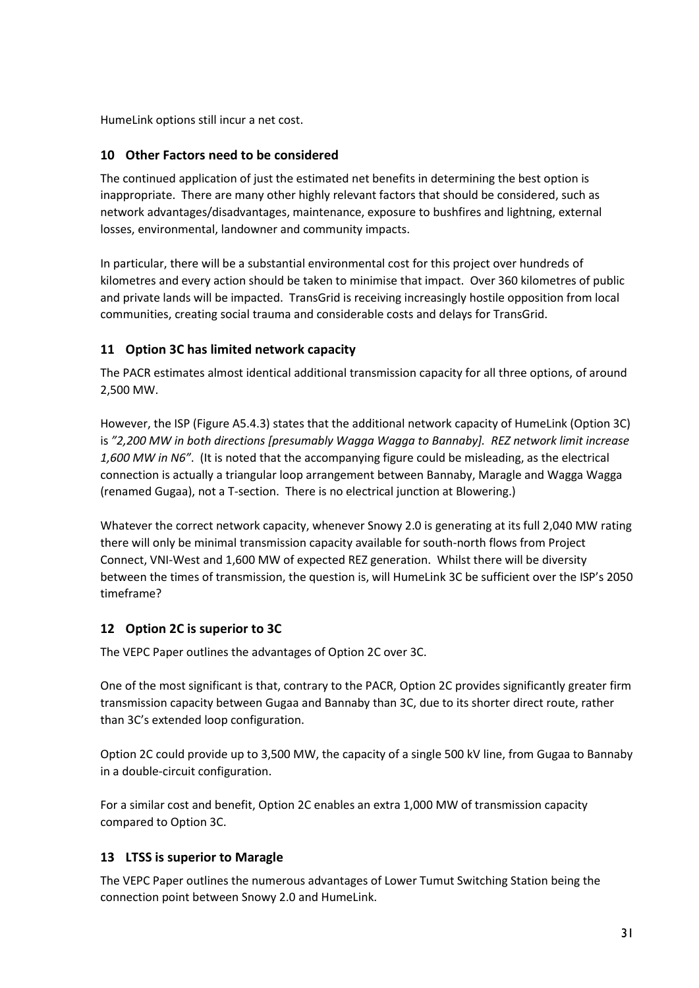HumeLink options still incur a net cost.

## **10 Other Factors need to be considered**

The continued application of just the estimated net benefits in determining the best option is inappropriate. There are many other highly relevant factors that should be considered, such as network advantages/disadvantages, maintenance, exposure to bushfires and lightning, external losses, environmental, landowner and community impacts.

In particular, there will be a substantial environmental cost for this project over hundreds of kilometres and every action should be taken to minimise that impact. Over 360 kilometres of public and private lands will be impacted. TransGrid is receiving increasingly hostile opposition from local communities, creating social trauma and considerable costs and delays for TransGrid.

# **11 Option 3C has limited network capacity**

The PACR estimates almost identical additional transmission capacity for all three options, of around 2,500 MW.

However, the ISP (Figure A5.4.3) states that the additional network capacity of HumeLink (Option 3C) is *"2,200 MW in both directions [presumably Wagga Wagga to Bannaby]. REZ network limit increase 1,600 MW in N6"*. (It is noted that the accompanying figure could be misleading, as the electrical connection is actually a triangular loop arrangement between Bannaby, Maragle and Wagga Wagga (renamed Gugaa), not a T-section. There is no electrical junction at Blowering.)

Whatever the correct network capacity, whenever Snowy 2.0 is generating at its full 2,040 MW rating there will only be minimal transmission capacity available for south-north flows from Project Connect, VNI-West and 1,600 MW of expected REZ generation. Whilst there will be diversity between the times of transmission, the question is, will HumeLink 3C be sufficient over the ISP's 2050 timeframe?

# **12 Option 2C is superior to 3C**

The VEPC Paper outlines the advantages of Option 2C over 3C.

One of the most significant is that, contrary to the PACR, Option 2C provides significantly greater firm transmission capacity between Gugaa and Bannaby than 3C, due to its shorter direct route, rather than 3C's extended loop configuration.

Option 2C could provide up to 3,500 MW, the capacity of a single 500 kV line, from Gugaa to Bannaby in a double-circuit configuration.

For a similar cost and benefit, Option 2C enables an extra 1,000 MW of transmission capacity compared to Option 3C.

## **13 LTSS is superior to Maragle**

The VEPC Paper outlines the numerous advantages of Lower Tumut Switching Station being the connection point between Snowy 2.0 and HumeLink.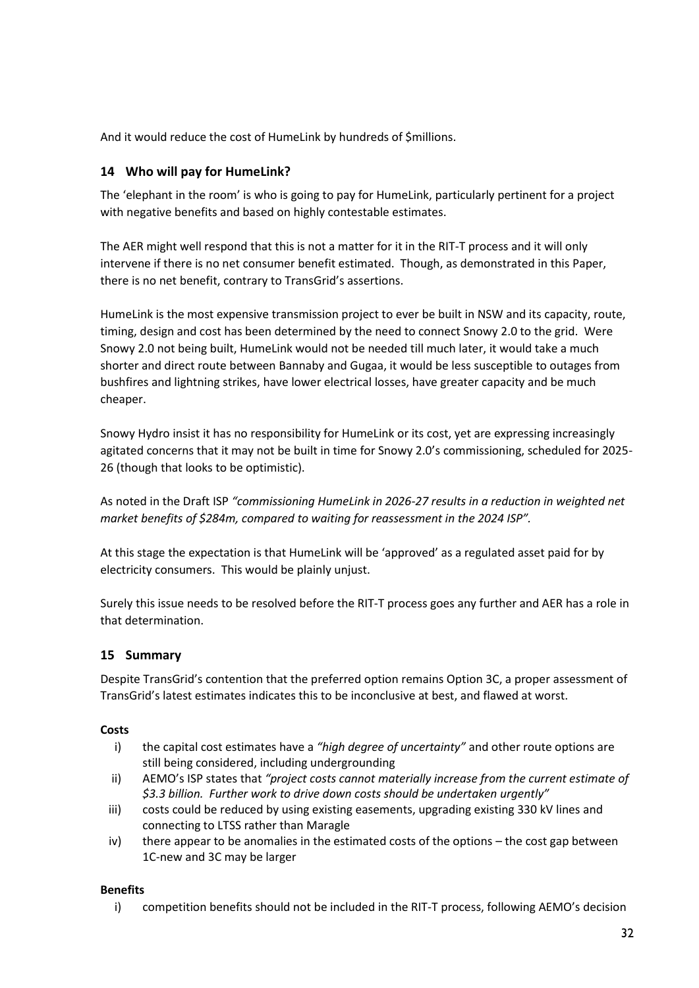And it would reduce the cost of HumeLink by hundreds of \$millions.

## **14 Who will pay for HumeLink?**

The 'elephant in the room' is who is going to pay for HumeLink, particularly pertinent for a project with negative benefits and based on highly contestable estimates.

The AER might well respond that this is not a matter for it in the RIT-T process and it will only intervene if there is no net consumer benefit estimated. Though, as demonstrated in this Paper, there is no net benefit, contrary to TransGrid's assertions.

HumeLink is the most expensive transmission project to ever be built in NSW and its capacity, route, timing, design and cost has been determined by the need to connect Snowy 2.0 to the grid. Were Snowy 2.0 not being built, HumeLink would not be needed till much later, it would take a much shorter and direct route between Bannaby and Gugaa, it would be less susceptible to outages from bushfires and lightning strikes, have lower electrical losses, have greater capacity and be much cheaper.

Snowy Hydro insist it has no responsibility for HumeLink or its cost, yet are expressing increasingly agitated concerns that it may not be built in time for Snowy 2.0's commissioning, scheduled for 2025- 26 (though that looks to be optimistic).

As noted in the Draft ISP *"commissioning HumeLink in 2026-27 results in a reduction in weighted net market benefits of \$284m, compared to waiting for reassessment in the 2024 ISP".*

At this stage the expectation is that HumeLink will be 'approved' as a regulated asset paid for by electricity consumers. This would be plainly unjust.

Surely this issue needs to be resolved before the RIT-T process goes any further and AER has a role in that determination.

## **15 Summary**

Despite TransGrid's contention that the preferred option remains Option 3C, a proper assessment of TransGrid's latest estimates indicates this to be inconclusive at best, and flawed at worst.

### **Costs**

- i) the capital cost estimates have a *"high degree of uncertainty"* and other route options are still being considered, including undergrounding
- ii) AEMO's ISP states that *"project costs cannot materially increase from the current estimate of \$3.3 billion. Further work to drive down costs should be undertaken urgently"*
- iii) costs could be reduced by using existing easements, upgrading existing 330 kV lines and connecting to LTSS rather than Maragle
- iv) there appear to be anomalies in the estimated costs of the options the cost gap between 1C-new and 3C may be larger

### **Benefits**

i) competition benefits should not be included in the RIT-T process, following AEMO's decision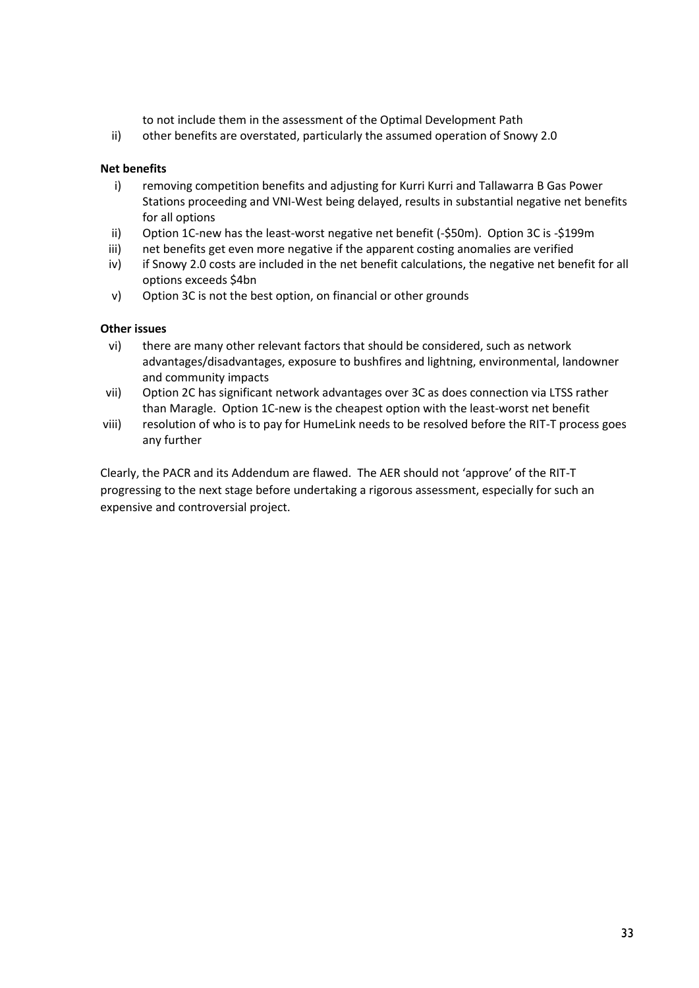to not include them in the assessment of the Optimal Development Path

ii) other benefits are overstated, particularly the assumed operation of Snowy 2.0

#### **Net benefits**

- i) removing competition benefits and adjusting for Kurri Kurri and Tallawarra B Gas Power Stations proceeding and VNI-West being delayed, results in substantial negative net benefits for all options
- ii) Option 1C-new has the least-worst negative net benefit (-\$50m). Option 3C is -\$199m
- iii) net benefits get even more negative if the apparent costing anomalies are verified
- iv) if Snowy 2.0 costs are included in the net benefit calculations, the negative net benefit for all options exceeds \$4bn
- v) Option 3C is not the best option, on financial or other grounds

#### **Other issues**

- vi) there are many other relevant factors that should be considered, such as network advantages/disadvantages, exposure to bushfires and lightning, environmental, landowner and community impacts
- vii) Option 2C has significant network advantages over 3C as does connection via LTSS rather than Maragle. Option 1C-new is the cheapest option with the least-worst net benefit
- viii) resolution of who is to pay for HumeLink needs to be resolved before the RIT-T process goes any further

Clearly, the PACR and its Addendum are flawed. The AER should not 'approve' of the RIT-T progressing to the next stage before undertaking a rigorous assessment, especially for such an expensive and controversial project.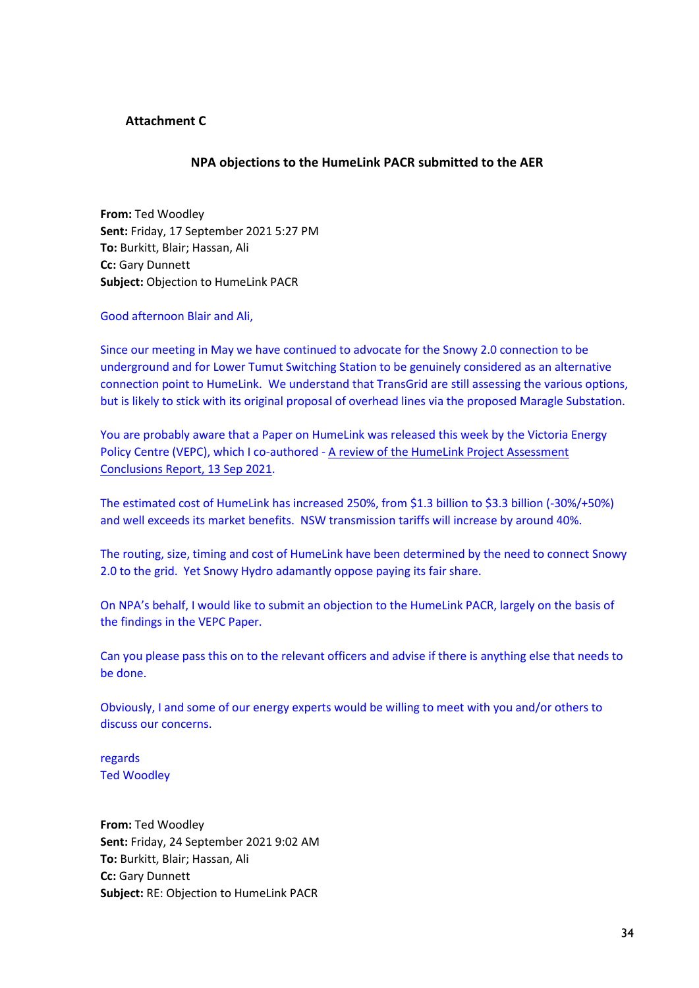#### **Attachment C**

#### **NPA objections to the HumeLink PACR submitted to the AER**

**From:** Ted Woodley **Sent:** Friday, 17 September 2021 5:27 PM **To:** Burkitt, Blair; Hassan, Ali **Cc:** Gary Dunnett **Subject:** Objection to HumeLink PACR

Good afternoon Blair and Ali,

Since our meeting in May we have continued to advocate for the Snowy 2.0 connection to be underground and for Lower Tumut Switching Station to be genuinely considered as an alternative connection point to HumeLink. We understand that TransGrid are still assessing the various options, but is likely to stick with its original proposal of overhead lines via the proposed Maragle Substation.

You are probably aware that a Paper on HumeLink was released this week by the Victoria Energy Policy Centre (VEPC), which I co-authored - A review of the HumeLink Project Assessment Conclusions Report, 13 Sep 2021.

The estimated cost of HumeLink has increased 250%, from \$1.3 billion to \$3.3 billion (-30%/+50%) and well exceeds its market benefits. NSW transmission tariffs will increase by around 40%.

The routing, size, timing and cost of HumeLink have been determined by the need to connect Snowy 2.0 to the grid. Yet Snowy Hydro adamantly oppose paying its fair share.

On NPA's behalf, I would like to submit an objection to the HumeLink PACR, largely on the basis of the findings in the VEPC Paper.

Can you please pass this on to the relevant officers and advise if there is anything else that needs to be done.

Obviously, I and some of our energy experts would be willing to meet with you and/or others to discuss our concerns.

regards Ted Woodley

**From:** Ted Woodley **Sent:** Friday, 24 September 2021 9:02 AM **To:** Burkitt, Blair; Hassan, Ali **Cc:** Gary Dunnett **Subject:** RE: Objection to HumeLink PACR